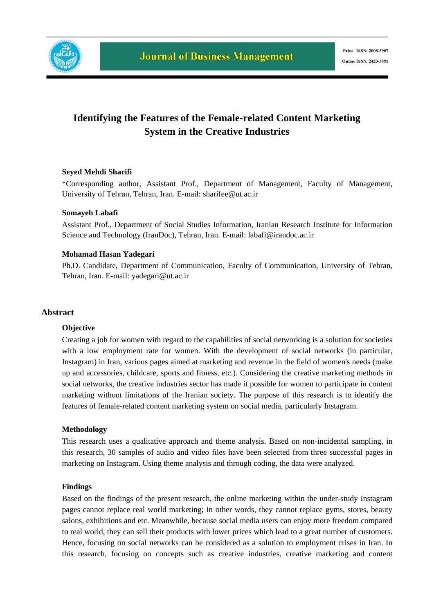

# **Identifying the Features of the Female-related Content Marketing System in the Creative Industries**

### **Seyed Mehdi Sharifi**

\*Corresponding author, Assistant Prof., Department of Management, Faculty of Management, University of Tehran, Tehran, Iran. E-mail: sharifee@ut.ac.ir

### **Somayeh Labafi**

Assistant Prof., Department of Social Studies Information, Iranian Research Institute for Information Science and Technology (IranDoc), Tehran, Iran. E-mail: labafi@irandoc.ac.ir

#### **Mohamad Hasan Yadegari**

Ph.D. Candidate, Department of Communication, Faculty of Communication, University of Tehran, Tehran, Iran. E-mail: yadegari@ut.ac.ir

### **Abstract**

#### **Objective**

Creating a job for women with regard to the capabilities of social networking is a solution for societies with a low employment rate for women. With the development of social networks (in particular, Instagram) in Iran, various pages aimed at marketing and revenue in the field of women's needs (make up and accessories, childcare, sports and fitness, etc.). Considering the creative marketing methods in social networks, the creative industries sector has made it possible for women to participate in content marketing without limitations of the Iranian society. The purpose of this research is to identify the features of female-related content marketing system on social media, particularly Instagram.

#### **Methodology**

This research uses a qualitative approach and theme analysis. Based on non-incidental sampling, in this research, 30 samples of audio and video files have been selected from three successful pages in marketing on Instagram. Using theme analysis and through coding, the data were analyzed.

#### **Findings**

Based on the findings of the present research, the online marketing within the under-study Instagram pages cannot replace real world marketing; in other words, they cannot replace gyms, stores, beauty salons, exhibitions and etc. Meanwhile, because social media users can enjoy more freedom compared to real world, they can sell their products with lower prices which lead to a great number of customers. Hence, focusing on social networks can be considered as a solution to employment crises in Iran. In this research, focusing on concepts such as creative industries, creative marketing and content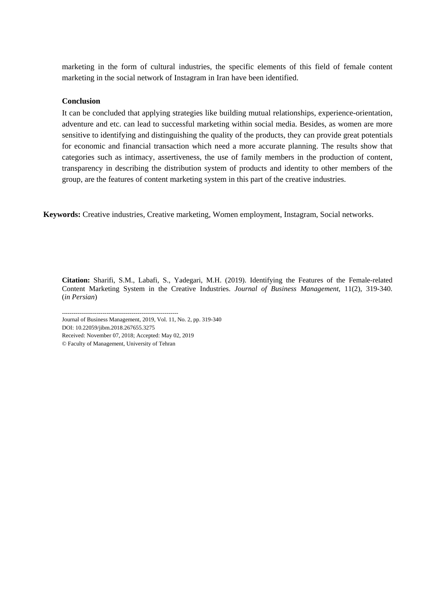marketing in the form of cultural industries, the specific elements of this field of female content marketing in the social network of Instagram in Iran have been identified.

### **Conclusion**

It can be concluded that applying strategies like building mutual relationships, experience-orientation, adventure and etc. can lead to successful marketing within social media. Besides, as women are more sensitive to identifying and distinguishing the quality of the products, they can provide great potentials for economic and financial transaction which need a more accurate planning. The results show that categories such as intimacy, assertiveness, the use of family members in the production of content, transparency in describing the distribution system of products and identity to other members of the group, are the features of content marketing system in this part of the creative industries.

 **Keywords:** Creative industries, Creative marketing, Women employment, Instagram, Social networks.

**Citation:** Sharifi, S.M., Labafi, S., Yadegari, M.H. (2019). Identifying the Features of the Female-related Content Marketing System in the Creative Industries. *Journal of Business Management,* 11(2), 319-340. (*in Persian*)

------------------------------------------------------------ Journal of Business Management, 2019, Vol. 11, No. 2, pp. 319-340

DOI: 10.22059/jibm.2018.267655.3275

Received: November 07, 2018; Accepted: May 02, 2019

© Faculty of Management, University of Tehran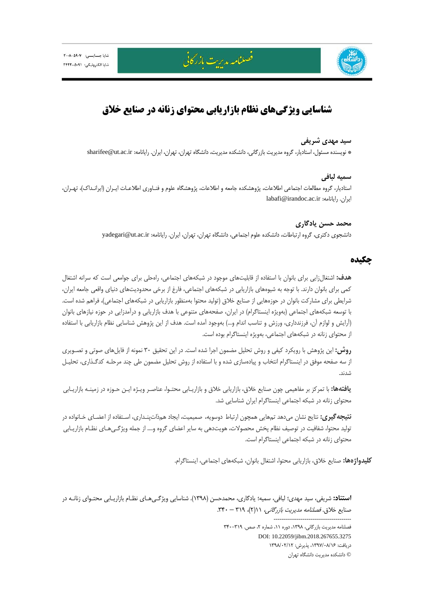

فصلنامه مدبرت بازركاني

# **شناسايي ويژگيهاي نظام بازاريابي محتواي زنانه در صنايع خلاق**

### **سيد مهدي شريفي**

\* نويسنده مسئول، استاديار، گروه مديريت بازرگاني، دانشكده مديريت، دانشگاه تهران، تهران، ايران. رايانامه: ir.ac.ut@sharifee

## **سميه لبافي**

استاديار، گروه مطالعات اجتماعي اطلاعات، پژوهشكده جامعه و اطلاعات، پژوهشگاه علوم و فنـاوري اطلاعـات ايـران (ايرانـداك)، تهـران، labafi@irandoc.ac.ir :رايانامه .ايران

> **محمد حسن يادگاري**  دانشجوي دكتري، گروه ارتباطات، دانشكده علوم اجتماعي، دانشگاه تهران، تهران، ايران. رايانامه: yadegari@ut.ac.ir

# **چكيده**

**هدف:** اشتغالزايي براي بانوان با استفاده از قابليتهاي موجود در شبكههاي اجتماعي، راهحلي براي جوامعي است كه سرانه اشتغال كمي براي بانوان دارند. با توجه به شيوههاي بازاريابي در شبكههاي اجتماعي، فارغ از برخي محدوديتهاي دنياي واقعي جامعه ايران، شرايطي براي مشاركت بانوان در حوزههايي از صنايع خلاق (توليد محتوا بهمنظور بازاريابي در شبكههاي اجتماعي)، فراهم شده است. با توسعه شبكههاي اجتماعي (بهويژه اينستاگرام) در ايران، صفحههاي متنوعي با هدف بازاريابي و درآمدزايي در حوزه نيازهاي بانوان (آرايش و لوازم آن، فرزندداري، ورزش و تناسب اندام و...) بهوجود آمده است. هدف از اين پژوهش شناسايي نظام بازاريابي با استفاده از محتواي زنانه در شبكههاي اجتماعي، بهويژه اينستاگرام بوده است.

**روش:** اين پژوهش با رويكرد كيفي و روش تحليل مضمون اجرا شده است. در اين تحقيق 30 نمونه از فايلهاي صوتي و تصـويري از سه صفحه موفق در اينستاگرام انتخاب و پيادهسازي شده و با استفاده از روش تحليل مضمون طي چند مرحلـه كدگـذاري، تحليـل شدند.

**يافتهها:** با تمركز بر مفاهيمي چون صنايع خلاق، بازاريابي خلاق و بازاريـابي محتـوا، عناصـر ويـژه ايـن حـوزه در زمينـه بازاريـابي محتواي زنانه در شبكه اجتماعي اينستاگرام ايران شناسايي شد.

**نتيجهگيري:** نتايج نشان ميدهد تمهايي همچون ارتباط دوسويه، صميميت، ايجاد همذاتپنـداري، اسـتفاده از اعضـاي خـانواده در توليد محتوا، شفافيت در توصيف نظام پخش محصولات، هويتدهي به ساير اعضاي گروه و.... از جمله ويژگـيهـاي نظـام بازاريـابي محتواي زنانه در شبكه اجتماعي اينستاگرام است.

**كليدواژهها:** صنايع خلاق، بازاريابي محتوا، اشتغال بانوان، شبكههاي اجتماعي، اينستاگرام.

**استناد:** شريفي، سيد مهدي؛ لبافي، سميه؛ يادگاري، محمدحسن (1398). شناسايي ويژگـيهـاي نظـام بازاريـابي محتـواي زنانـه در صنايع خلاق. فصلنامه مديريت بازرگاني، 11(2)، 319 – .340

> ---------------------------------------- فصلنامه مديريت بازرگاني، ١٣٩٨، دوره ١١، شماره ٢، صص. ٣١٩-٣۴٠ DOI: 10.22059/jibm.2018.267655.3275 دريافت: ،1397/08/16 پذيرش: 1398/02/12 © دانشكده مديريت دانشگاه تهران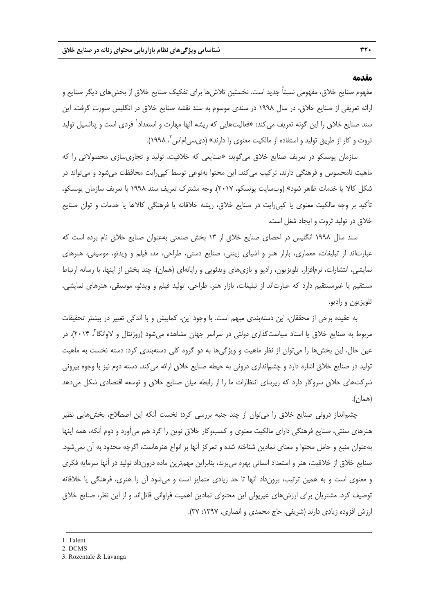#### **مقدمه**

مفهوم صنايع خلاق، مفهومي نسبتاً جديد است. نخستين تلاشها براي تفكيك صنايع خلاق از بخشهاي ديگر صنايع و ارائه تعريفي از صنايع خلاق، در سال 1998 در سندي موسوم به سند نقشه صنايع خلاق در انگليس صورت گرفت. اين سند صنايع خلاق را اين گونه تعريف مىكند: «فعاليتهايى كه ريشه آنها مهارت و استعداد<sup>\</sup> فردى است و پتانسيل توليد ثروت و كار از طريق توليد و استفاده از مالكيت معنوي را دارند» (ديسي|ماس ً، ١٩٩٨).

سازمان يونسكو در تعريف صنايع خلاق ميگويد: «صنايعي كه خلاقيت، توليد و تجاريسازي محصولاتي را كه ماهيت نامحسوس و فرهنگي دارند، تركيب ميكند. اين محتوا بهنوعي توسط كپيرايت محافظت ميشود و ميتواند در شكل كالا يا خدمات ظاهر شود» (وبسايت يونسكو، 2017). وجه مشترك تعريف سند 1998 با تعريف سازمان يونسكو، تأكيد بر وجه مالكيت معنوي يا كپيرايت در صنايع خلاق، ريشه خلاقانه يا فرهنگي كالاها يا خدمات و توان صنايع خلاق در توليد ثروت و ايجاد شغل است.

سند سال 1998 انگليس در احصاي صنايع خلاق از 13 بخش صنعتي بهعنوان صنايع خلاق نام برده است كه عبارتاند از تبليغات، معماري، بازار هنر و اشياي زينتي، صنايع دستي، طراحي، مد، فيلم و ويدئو، موسيقي، هنرهاي نمايشي، انتشارات، نرمافزار، تلويزيون، راديو و بازيهاي ويدئويي و رايانهاي (همان). چند بخش از اينها، با رسانه ارتباط مستقيم يا غيرمستقيم دارد كه عبارتاند از تبليغات، بازار هنر، طراحي، توليد فيلم و ويدئو، موسيقي، هنرهاي نمايشي، تلويزيون و راديو.

به عقيده برخي از محققان، اين دستهبندي مبهم است. با وجود اين، كمابيش و با اندكي تغيير در بيشتر تحقيقات مربوط به صنايع خلاق يا اسناد سياستگذارى دولتى در سراسر جهان مشاهده مىشود (روزنتال و لاوانگا<sup>۳</sup>، ۲۰۱۴). در عين حال، اين بخشها را ميتوان از نظر ماهيت و ويژگيها به دو گروه كلي دستهبندي كرد: دسته نخست به ماهيت توليد در صنايع خلاق اشاره دارد و چشماندازي دروني به حيطه صنايع خلاق ارائه ميكند. دسته دوم نيز با وجوه بيروني شركتهاي خلاق سروكار دارد كه زيربناي انتظارات ما را از رابطه ميان صنايع خلاق و توسعه اقتصادي شكل ميدهد (همان).

چشمانداز دروني صنايع خلاق را ميتوان از چند جنبه بررسي كرد؛ نخست آنكه اين اصطلاح، بخشهايي نظير هنرهاي سنتي، صنايع فرهنگي داراي مالكيت معنوي و كسبوكار خلاق نوين را گرد هم ميآورد و دوم آنكه، همه اينها بهعنوان منبع و حامل محتوا و معناي نمادين شناخته شده و تمركز آنها بر انواع هنرهاست، اگرچه محدود به آن نميشود. صنايع خلاق از خلاقيت، هنر و استعداد انساني بهره ميبرند، بنابراين مهمترين ماده درونداد توليد در آنها سرمايه فكري و معنوي است و به همين ترتيب، برونداد آنها تا حد زيادي متمايز است و ميشود آن را هنري، فرهنگي يا خلاقانه توصيف كرد. مشتريان براي ارزشهاي غيرپولي اين محتواي نمادين اهميت فراواني قائلاند و از اين نظر، صنايع خلاق ارزش افزوده زيادي دارند (شريفي، حاج محمدي و انصاري، ١٣٩٧: ٣٧).

<sup>1 .</sup> Talent

<sup>2.</sup> DCMS

<sup>3.</sup> Rozentale & Lavanga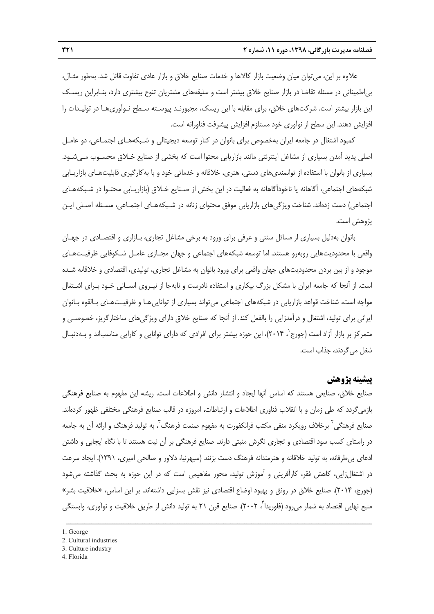علاوه بر اين، ميتوان ميان وضعيت بازار كالاها و خدمات صنايع خلاق و بازار عادي تفاوت قائل شد. بهطور مثـال، بياطميناني در مسئله تقاضا در بازار صنايع خلاق بيشتر است و سليقههاي مشتريان تنوع بيشتري دارد، بنـابراين ريسـك اين بازار بيشتر است. شركتهاي خلاق، براي مقابله با اين ريسك، مجبورنـد پيوسـته سـطح نـوآوريهـا در توليـدات را افزايش دهند. اين سطح از نوآوري خود مستلزم افزايش پيشرفت فناورانه است.

كمبود اشتغال در جامعه ايران بهخصوص براي بانوان در كنار توسعه ديجيتالي و شـبكههـاي اجتمـاعي، دو عامـل اصلي پديد آمدن بسياري از مشاغل اينترنتي مانند بازاريابي محتوا است كه بخشي از صنايع خـلاق محسـوب مـيشـود. بسياري از بانوان با استفاده از توانمنديهاي دستي، هنري، خلاقانه و خدماتي خود و با بهكارگيري قابليتهـاي بازاريـابي شبكههاي اجتماعي، آگاهانه يا ناخودآگاهانه به فعاليت در اين بخش از صـنايع خـلاق (بازاريـابي محتـوا در شـبكههـاي اجتماعي) دست زدهاند. شناخت ويژگيهاي بازاريابي موفق محتواي زنانه در شـبكههـاي اجتمـاعي، مسـئله اصـلي ايـن پژوهش است.

بانوان بهدليل بسياري از مسائل سنتي و عرفي براي ورود به برخي مشاغل تجاري، بـازاري و اقتصـادي در جهـان واقعي با محدوديتهايي روبهرو هستند. اما توسعه شبكههاي اجتماعي و جهان مجـازي عامـل شـكوفايي ظرفيـتهـاي موجود و از بين بردن محدوديتهاي جهان واقعي براي ورود بانوان به مشاغل تجاري، توليدي، اقتصادي و خلاقانه شـده است. از آنجا كه جامعه ايران با مشكل بزرگ بيكاري و استفاده نادرست و نابهجا از نيـروي انسـاني خـود بـراي اشـتغال مواجه است، شناخت قواعد بازاريابي در شبكههاي اجتماعي ميتواند بسياري از تواناييهـا و ظرفيـتهـاي بـالقوه بـانوان ايراني براي توليد، اشتغال و درآمدزايي را بالفعل كند. از آنجا كه صنايع خلاق داراي ويژگيهاي ساختارگريز، خصوصـي و متمركز بر بازار آزاد است (جورج`، ۲۰۱۴)، اين حوزه بيشتر براي افرادي كه داراي توانايي و كارايي مناسباند و بـهدنبـال شغل ميگردند، جذاب است.

# **پيشينه پژوهش**

صنايع خلاق، صنايعي هستند كه اساس آنها ايجاد و انتشار دانش و اطلاعات است. ريشه اين مفهوم به صنايع فرهنگي بازميگردد كه طي زمان و با انقلاب فناوري اطلاعات و ارتباطات، امروزه در قالب صنايع فرهنگي مختلفي ظهور كردهاند. صنايع فرهنگي ٰ برخلاف رويكرد منفي مكتب فرانكفورت به مفهوم صنعت فرهنگ ٰ، به توليد فرهنگ و ارائه اَن به جامعه در راستاي كسب سود اقتصادي و تجاري نگرش مثبتي دارند. صنايع فرهنگي بر آن نيت هستند تا با نگاه ايجابي و داشتن ادعاي بيطرفانه، به توليد خلاقانه و هنرمندانه فرهنگ دست بزنند (سپهرنيا، دلاور و صالحي اميري، 1391). ايجاد سرعت در اشتغالزايي، كاهش فقر، كارآفريني و آموزش توليد، محور مفاهيمي است كه در اين حوزه به بحث گذاشته ميشود (جورج، 2014). صنايع خلاق در رونق و بهبود اوضاع اقتصادي نيز نقش بسزايي داشتهاند. بر اين اساس، «خلاقيت بشر» منبع نهايي اقتصاد به شمار میرود (فلوريدا ٌ، ۲۰۰۲). صنايع قرن ۲۱ به توليد دانش از طريق خلاقيت و نوآوری، وابستگی

- 2. Cultural industries
- 3. Culture industry
- 4. Florida

<sup>1.</sup> George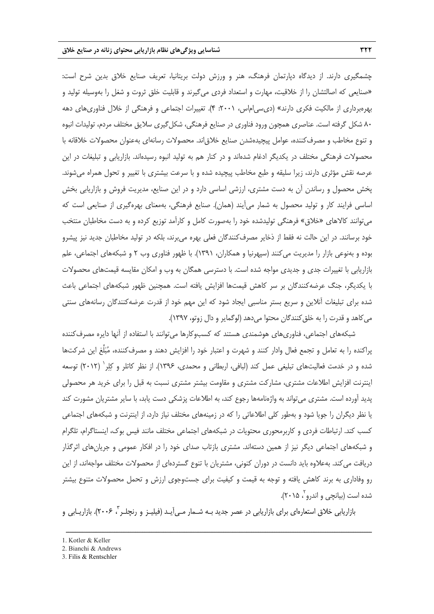چشمگيري دارند. از ديدگاه دپارتمان فرهنگ، هنر و ورزش دولت بريتانيا، تعريف صنايع خلاق بدين شرح است: «صنايعي كه اصالتشان را از خلاقيت، مهارت و استعداد فردي ميگيرند و قابليت خلق ثروت و شغل را بهوسيله توليد و بهرهبرداري از مالكيت فكري دارند» (ديسياماس، :2001 4). تغييرات اجتماعي و فرهنگي از خلال فناوريهاي دهه 80 شكل گرفته است. عناصري همچون ورود فناوري در صنايع فرهنگي، شكلگيري سلايق مختلف مردم، توليدات انبوه و تنوع مخاطب و مصرفكننده، عوامل پيچيدهشدن صنايع خلاقاند. محصولات رسانهاي بهعنوان محصولات خلاقانه با محصولات فرهنگي مختلف در يكديگر ادغام شدهاند و در كنار هم به توليد انبوه رسيدهاند. بازاريابي و تبليغات در اين عرصه نقش مؤثري دارند، زيرا سليقه و طبع مخاطب پيچيده شده و با سرعت بيشتري با تغيير و تحول همراه ميشوند. پخش محصول و رساندن آن به دست مشتري، ارزشي اساسي دارد و در اين صنايع، مديريت فروش و بازاريابي بخش اساسي فرايند كار و توليد محصول به شمار ميآيند (همان). صنايع فرهنگي، بهمعناي بهرهگيري از صنايعي است كه ميتوانند كالاهاي «خلاق» فرهنگي توليدشده خود را بهصورت كامل و كارآمد توزيع كرده و به دست مخاطبان منتخب خود برسانند. در اين حالت نه فقط از ذخاير مصرفكنندگان فعلي بهره ميبرند، بلكه در توليد مخاطبان جديد نيز پيشرو بوده و بهنوعي بازار را مديريت ميكنند (سپهرنيا و همكاران، 1391). با ظهور فناوري وب 2 و شبكههاي اجتماعي، علم بازاريابي با تغييرات جدي و جديدي مواجه شده است. با دسترسي همگان به وب و امكان مقايسه قيمتهاي محصولات با يكديگر، جنگ عرضهكنندگان بر سر كاهش قيمتها افزايش يافته است. همچنين ظهور شبكههاي اجتماعي باعث شده براي تبليغات آنلاين و سريع بستر مناسبي ايجاد شود كه اين مهم خود از قدرت عرضهكنندگان رسانههاي سنتي ميكاهد و قدرت را به خلقكنندگان محتوا ميدهد (لوگماير و دال زوتو، 1397).

شبكههاي اجتماعي، فناوريهاي هوشمندي هستند كه كسبوكارها ميتوانند با استفاده از آنها دايره مصرفكننده پراكنده را به تعامل و تجمع فعال وادار كنند و شهرت و اعتبار خود را افزايش دهند و مصرفكننده، مبلِّغ اين شركتها شده و در خدمت فعاليتهاي تبليغي عمل كند (لبافي، اربطاني و محمدي، ١٣٩۶). از نظر كاتلر و كِلِر` (٢٠١٢) توسعه اينترنت افزايش اطلاعات مشتري، مشاركت مشتري و مقاومت بيشتر مشتري نسبت به قبل را براي خريد هر محصولي پديد آورده است. مشتري ميتواند به واژهنامهها رجوع كند، به اطلاعات پزشكي دست يابد، با ساير مشتريان مشورت كند يا نظر ديگران را جويا شود و بهطور كلي اطلاعاتي را كه در زمينههاي مختلف نياز دارد، از اينترنت و شبكههاي اجتماعي كسب كند. ارتباطات فردي و كاربرمحوري محتويات در شبكههاي اجتماعي مختلف مانند فيس بوك، اينستاگرام، تلگرام و شبكههاي اجتماعي ديگر نيز از همين دستهاند. مشتري بازتاب صداي خود را در افكار عمومي و جريانهاي اثرگذار دريافت ميكند. بهعلاوه بايد دانست در دوران كنوني، مشتريان با تنوع گستردهاي از محصولات مختلف مواجهاند، از اين رو وفاداري به برند كاهش يافته و توجه به قيمت و كيفيت براي جستوجوي ارزش و تحمل محصولات متنوع بيشتر شده است (بيانچي و اندرو<sup>۲</sup>، ۲۰۱۵).

بازاريابي خلاق استعارهاي براي بازاريابي در عصر جديد بـه شــمار مـي]يـد (فيليـز و رنچلـر <sup>۳</sup>، ۲۰۰۶). بازاريــابي و

<sup>1.</sup> Kotler & Keller

<sup>2.</sup> Bianchi & Andrews

<sup>3.</sup> Filis & Rentschler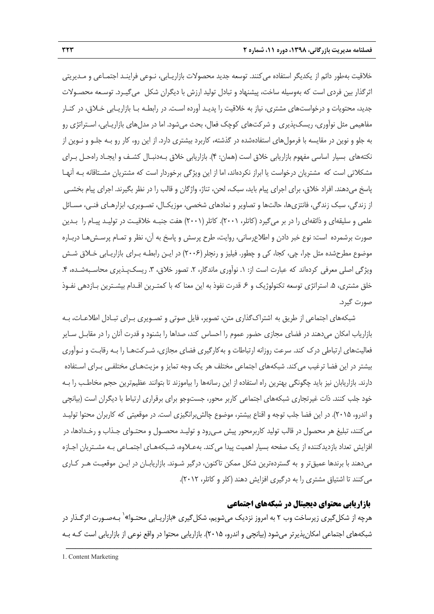خلاقيت بهطور دائم از يكديگر استفاده ميكنند. توسعه جديد محصولات بازاريـابي، نـوعي فراينـد اجتمـاعي و مـديريتي اثرگذار بين فردي است كه بهوسيله ساخت، پيشنهاد و تبادل توليد ارزش با ديگران شكل ميگيـرد. توسـعه محصـولات جديد، محتويات و درخواستهاي مشتري، نياز به خلاقيت را پديـد آورده اسـت. در رابطـه بـا بازاريـابي خـلاق، در كنـار مفاهيمي مثل نوآوري، ريسكپذيري و شركتهاي كوچك فعال، بحث ميشود. اما در مدلهاي بازاريـابي، اسـتراتژي رو به جلو و نوين در مقايسه با فرمولهاي استفادهشده در گذشته، كاربرد بيشتري دارد. از اين رو، كار رو بـه جلـو و نـوين از نكتههاي بسيار اساسي مفهوم بازاريابي خلاق است (همان: 4). بازاريابي خلاق بـهدنبـال كشـف و ايجـاد راهحـل بـراي مشكلاتي است كه مشتريان درخواست يا ابراز نكردهاند، اما از اين ويژگي برخوردار است كه مشتريان مشـتاقانه بـه آنهـا پاسخ ميدهند. افراد خلاق، براي اجراي پيام بايد، سبك، لحن، تناژ، واژگان و قالب را در نظر بگيرند. اجراي پيام بخشـي از زندگي، سبك زندگي، فانتزيها، حالتها و تصاوير و نمادهاي شخصي، موزيكـال، تصـويري، ابزارهـاي فنـي، مسـائل علمي و سليقهاي و ذائقهاي را در بر ميگيرد (كاتلر، 2001). كاتلر(2001) هفت جنبـه خلاقيـت در توليـد پيـام را بـدين صورت برشمرده است: نوع خبر دادن و اطلاعرساني، روايت، طرح پرسش و پاسخ به آن، نظر و تمـام پرسـشهـا دربـاره موضوع مطرحشده مثل چرا، چي، كجا، كي و چطور. فيليز و رنچلر(2006) در ايـن رابطـه بـراي بازاريـابي خـلاق شـش ويژگي اصلي معرفي كردهاند كه عبارت است از: ١. نوآوري ماندگار، ٢. تصور خلاق، ٣. ريسكپـذيري محاسـبهشـده، ۴. خلق مشتري، ۵. استراتژي توسعه تكنولوژيك و ۶ـ قدرت نفوذ به اين معنا كه با كمتـرين اقـدام بيشـترين بـازدهي نفـوذ صورت گيرد.

شبكههاي اجتماعي از طريق به اشتراكگذاري متن، تصوير، فايل صوتي و تصـويري بـراي تبـادل اطلاعـات، بـه بازارياب امكان ميدهند در فضاي مجازي حضور عموم را احساس كند، صداها را بشنود و قدرت آنان را در مقابـل سـاير فعاليتهاي ارتباطي درك كند. سرعت روزانه ارتباطات و بهكارگيري فضاي مجازي، شـركتهـا را بـه رقابـت و نـوآوري بيشتر در اين فضا ترغيب ميكند. شبكههاي اجتماعي مختلف هر يك وجه تمايز و مزيتهـاي مختلفـي بـراي اسـتفاده دارند. بازاريابان نيز بايد چگونگي بهترين راه استفاده از اين رسانهها را بياموزند تا بتوانند عظيمترين حجم مخاطـب را بـه خود جلب كنند. ذات غيرتجاري شبكههاي اجتماعي كاربر محور، جستوجو براي برقراري ارتباط با ديگران است (بيانچي و اندرو، 2015). در اين فضا جلب توجه و اقناع بيشتر، موضوع چالشبرانگيزي است. در موقعيتي كه كاربران محتوا توليـد ميكنند، تبليغ هر محصول در قالب توليد كاربرمحور پيش مـيرود و توليـد محصـول و محتـواي جـذاب و رخـدادها، در افزايش تعداد بازديدكننده از يک صفحه بسيار اهميت پيدا مي كند. بهعـلاوه، شـبكههـاي اجتمـاعي بـه مشـتريان اجـازه ميدهند با برندها عميقتر و به گستردهترين شكل ممكن تاكنون، درگير شـوند. بازاريابـان در ايـن موقعيـت هـر كـاري ميكنند تا اشتياق مشتري را به درگيري افزايش دهند (كلر و كاتلر، 2012).

# **بازاريابي محتواي ديجيتال در شبكههاي اجتماعي**

هرچه از شكلگيري زيرساخت وب 2 به امروز نزديك ميشويم، شكلگيري «بازاريـابي محتـوا» 1 بـهصـورت اثرگـذار در شبكههاي اجتماعي امكانپذيرتر ميشود (بيانچي و اندرو، 2015). بازاريابي محتوا در واقع نوعي از بازاريابي است كـه بـه

ــــــــــــــــــــــــــــــــــــــــــــــــــــــــــــــــــــــــــــــــــــــــــــــــــــــــــــــــــــــــــــــــــــ

1. Content Marketing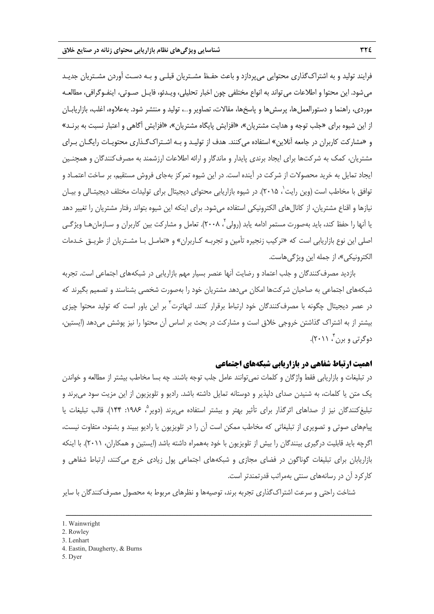فرايند توليد و به اشتراكگذاري محتوايي ميپردازد و باعث حفـظ مشـتريان قبلـي و بـه دسـت آوردن مشـتريان جديـد ميشود. اين محتوا و اطلاعات ميتواند به انواع مختلفي چون اخبار تحليلي، ويـدئو، فايـل صـوتي، اينفـوگرافي، مطالعـه موردي، راهنما و دستورالعمل ها، پرسش ها و پاسخها، مقالات، تصاوير و...، توليد و منتشر شود. بهعلاوه، اغلب، بازاريابـان از اين شيوه براي «جلب توجه و هدايت مشتريان»، «افزايش پايگاه مشتريان»، «افزايش آگاهي و اعتبار نسبت به برنـد» و «مشاركت كاربران در جامعه آنلاين» استفاده ميكنند. هدف از توليـد و بـه اشـتراكگـذاري محتويـات رايگـان بـراي مشتريان، كمك به شركتها براي ايجاد برندي پايدار و ماندگار و ارائه اطلاعات ارزشمند به مصرفكنندگان و همچنـين ايجاد تمايل به خريد محصولات از شركت در آينده است. در اين شيوه تمركز بهجاي فروش مستقيم، بر ساخت اعتمـاد و توافق با مخاطب است (وين رايت ٰ، ٢٠١۵). در شيوه بازاريابي محتواي ديجيتال براي توليدات مختلف ديجيتـالي و بيـان نيازها و اقناع مشتريان، از كانالهاي الكترونيكي استفاده ميشود. براي اينكه اين شيوه بتواند رفتار مشتريان را تغيير دهد یا آنها را حفظ كند، باید بهصورت مستمر ادامه یابد (رولی <sup>۲</sup> ، ۲۰۰۸). تعامل و مشاركت بین كاربران و سـازمان *هـ*ا ویژگـی اصلي اين نوع بازاريابي است كه «تركيب زنجيره تأمين و تجربـه كـاربران» و «تعامـل بـا مشـتريان از طريـق خـدمات الكترونيكي»، از جمله اين ويژگيهاست.

بازديد مصرفكنندگان و جلب اعتماد و رضايت آنها عنصر بسيار مهم بازاريابي در شبكههاي اجتماعي است. تجربه شبكههاي اجتماعي به صاحبان شركتها امكان ميدهد مشتريان خود را بهصورت شخصي بشناسند و تصميم بگيرند كه در عصر ديجيتال چگونه با مصرفکنندگان خود ارتباط برقرار کنند. لنهاترت<sup>۳</sup> بر اين باور است که توليد محتوا چيزى بيشتر از به اشتراك گذاشتن خروجي خلاق است و مشاركت در بحث بر اساس آن محتوا را نيز پوشش ميدهد (ايستين، دوگرتي و برن ، ۲۰۱۱).

### **اهميت ارتباط شفاهي در بازاريابي شبكههاي اجتماعي**

در تبليغات و بازاريابي فقط واژگان و كلمات نميتوانند عامل جلب توجه باشند. چه بسا مخاطب بيشتر از مطالعه و خواندن يك متن يا كلمات، به شنيدن صداي دلپذير و دوستانه تمايل داشته باشد. راديو و تلويزيون از اين مزيت سود ميبرند و تبليغ كنندگان نيز از صداهاي اثرگذار براي تأثير بهتر و بيشتر استفاده مي برند (دوير<sup>ه</sup>، ۱۹۸۶: ۱۴۴). قالب تبليغات يا پيامهاي صوتي و تصويري از تبليغاتي كه مخاطب ممكن است آن را در تلويزيون يا راديو ببيند و بشنود، متفاوت نيست، اگرچه بايد قابليت درگيري بينندگان را بيش از تلويزيون با خود بههمراه داشته باشد (ايستين و همكاران، 2011). با اينكه بازاريابان براي تبليغات گوناگون در فضاي مجازي و شبكههاي اجتماعي پول زيادي خرج ميكنند، ارتباط شفاهي و كاركرد آن در رسانههاي سنتي بهمراتب قدرتمندتر است.

شناخت راحتي و سرعت اشتراكگذاري تجربه برند، توصيهها و نظرهاي مربوط به محصول مصرفكنندگان با ساير

ــــــــــــــــــــــــــــــــــــــــــــــــــــــــــــــــــــــــــــــــــــــــــــــــــــــــــــــــــــــــــــــــــــ

5. Dyer

<sup>1.</sup> Wainwright

<sup>2.</sup> Rowley

<sup>3.</sup> Lenhart

<sup>4.</sup> Eastin, Daugherty, & Burns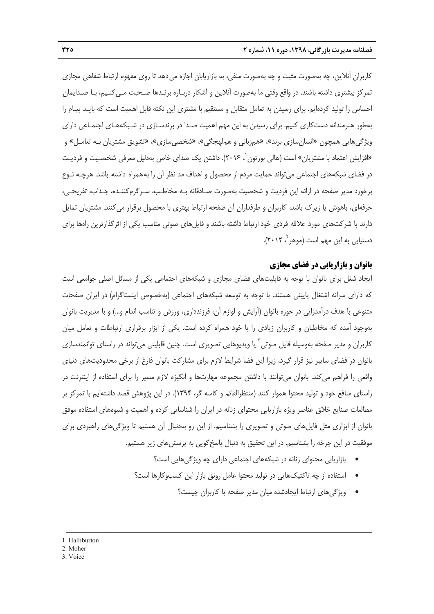كاربران آنلاين، چه بهصورت مثبت و چه بهصورت منفي، به بازاريابان اجازه ميدهد تا روي مفهوم ارتباط شفاهي مجازي تمركز بيشتري داشته باشند. در واقع وقتي ما بهصورت آنلاين و آشكار دربـاره برنـدها صـحبت مـيكنـيم، بـا صـدايمان احساس را توليد كردهايم. براي رسيدن به تعامل متقابل و مستقيم با مشتري اين نكته قابل اهميت است كه بايـد پيـام را بهطور هنرمندانه دستكاري كنيم. براي رسيدن به اين مهم اهميت صـدا در برندسـازي در شـبكههـاي اجتمـاعي داراي ويژگيهايي همچون «انسانسازي برند»، «همزباني و هملهجگي»، «شخصيسازي»، «تشويق مشتريان بـه تعامـل» و «افزايش اعتماد با مشتريان» است (هالي بورتون ٰ، ۲۰۱۶). داشتن يک صداي خاص بهدليل معرفي شخصـيت و فرديـت در فضاي شبكههاي اجتماعي ميتواند حمايت مردم از محصول و اهداف مد نظر آن را بههمراه داشته باشد. هرچـه نـوع برخورد مدير صفحه در ارائه اين فرديت و شخصيت بهصورت صـادقانه بـه مخاطـب، سـرگرمكننـده، جـذاب، تفريحـي، حرفهاي، باهوش يا زيرك باشد، كاربران و طرفداران آن صفحه ارتباط بهتري با محصول برقرار ميكنند. مشتريان تمايل دارند با شركتهاي مورد علاقه فردي خود ارتباط داشته باشند و فايلهاي صوتي مناسب يكي از اثرگذارترين راهها براي ، 2012).<sup>2</sup> دستيابي به اين مهم است (موهر

### **بانوان و بازاريابي در فضاي مجازي**

ايجاد شغل براي بانوان با توجه به قابليتهاي فضاي مجازي و شبكههاي اجتماعي يكي از مسائل اصلي جوامعي است كه داراي سرانه اشتغال پاييني هستند. با توجه به توسعه شبكههاي اجتماعي (بهخصوص اينستاگرام) در ايران صفحات متنوعي با هدف درآمدزايي در حوزه بانوان (آرايش و لوازم آن، فرزندداري، ورزش و تناسب اندام و...) و با مديريت بانوان بهوجود آمده كه مخاطبان و كاربران زيادي را با خود همراه كرده است. يكي از ابزار برقراري ارتباطات و تعامل ميان كاربران و مدير صفحه بهوسيله فايل صوتي ٰ يا ويديوهايي تصويري است. چنين قابليتي ميتواند در راستاي توانمندسازي بانوان در فضاي سايبر نيز قرار گيرد، زيرا اين فضا شرايط لازم براي مشاركت بانوان فارغ از برخي محدوديتهاي دنياي واقعي را فراهم ميكند. بانوان ميتوانند با داشتن مجموعه مهارتها و انگيزه لازم مسير را براي استفاده از اينترنت در راستاي منافع خود و توليد محتوا هموار كنند (منتظرالقائم و كاسه گر، 1394). در اين پژوهش قصد داشتهايم با تمركز بر مطالعات صنايع خلاق عناصر ويژه بازاريابي محتواي زنانه در ايران را شناسايي كرده و اهميت و شيوههاي استفاده موفق بانوان از ابزاري مثل فايلهاي صوتي و تصويري را بشناسيم. از اين رو بهدنبال آن هستيم تا ويژگيهاي راهبردي براي موفقيت در اين چرخه را بشناسيم. در اين تحقيق به دنبال پاسخ گويي به پرسش هاي زير هستيم.

- بازاريابي محتواي زنانه در شبكههاي اجتماعي داراي چه ويژگيهايي است؟
- استفاده از چه تاكتيكهايي در توليد محتوا عامل رونق بازار اين كسبوكارها است؟
	- ويژگيهاي ارتباط ايجادشده ميان مدير صفحه با كاربران چيست؟

- 1. Halliburton
- 2. Moher
- 3. Voice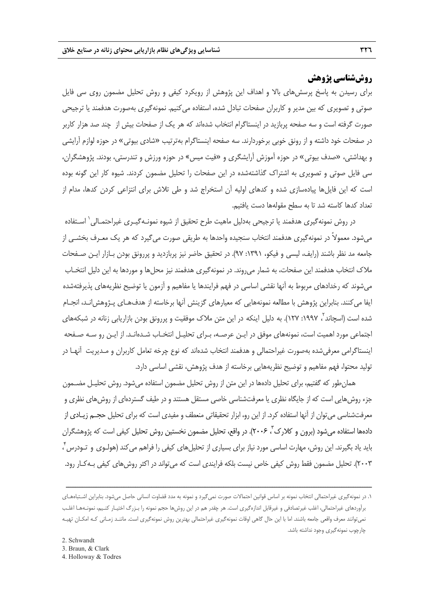# **روششناسي پژوهش**

براي رسيدن به پاسخ پرسشهاي بالا و اهداف اين پژوهش از رويكرد كيفي و روش تحليل مضمون روي سي فايل صوتي و تصويري كه بين مدير و كاربران صفحات تبادل شده، استفاده ميكنيم. نمونهگيري بهصورت هدفمند يا ترجيحي صورت گرفته است و سه صفحه پربازيد در اينستاگرام انتخاب شدهاند كه هر يك از صفحات بيش از چند صد هزار كاربر در صفحات خود داشته و از رونق خوبي برخوردارند. سه صفحه اينستاگرام بهترتيب «شادي بيوتي» در حوزه لوازم آرايشي و بهداشتي، «صدف بيوتي» در حوزه آموزش آرايشگري و «فيت ميس» در حوزه ورزش و تندرستي، بودند. پژوهشگران، سي فايل صوتي و تصويري به اشتراك گذاشتهشده در اين صفحات را تحليل مضمون كردند. شيوه كار اين گونه بوده است كه اين فايلها پيادهسازي شده و كدهاي اوليه آن استخراج شد و طي تلاش براي انتزاعي كردن كدها، مدام از تعداد كدها كاسته شد تا به سطح مقولهها دست يافتيم.

در روش نمونهگيري هدفمند يا ترجيحي بهدليل ماهيت طرح تحقيق از شيوه نمونـهگيـري غيراحتمـالي اسـتفاده <sup>1</sup> ميشود. معمولاً در نمونهگيري هدفمند انتخاب سنجيده واحدها به طريقي صورت ميگيرد كه هر يك معـرف بخشـي از جامعه مد نظر باشند (رايف، ليسي و فيكو، :1391 97). در تحقيق حاضر نيز پربازديد و پررونق بودن بـازار ايـن صـفحات ملاك انتخاب هدفمند اين صفحات، به شمار ميروند. در نمونهگيري هدفمند نيز محلها و موردها به اين دليل انتخـاب ميشوند كه رخدادهاي مربوط به آنها نقشي اساسي در فهم فرايندها يا مفاهيم و آزمون يا توضيح نظريههاي پذيرفتهشده ايفا ميكنند. بنابراين پژوهش با مطالعه نمونههايي كه معيارهاي گزينش آنها برخاسته از هدفهـاي پـژوهشانـد، انجـام شده است (اسچاند<sup>۲</sup>، ۱۹۹۷: ۱۲۷). به دلیل اینکه در این متن ملاک موفقیت و پررونق بودن بازاریابی زنانه در شبکههای اجتماعي مورد اهميت است، نمونههاي موفق در ايـن عرصـه، بـراي تحليـل انتخـاب شـدهانـد. از ايـن رو سـه صـفحه اينستاگرامي معرفيشده بهصورت غيراحتمالي و هدفمند انتخاب شدهاند كه نوع چرخه تعامل كاربران و مـديريت آنهـا در توليد محتوا، فهم مفاهيم و توضيح نظريههايي برخاسته از هدف پژوهش، نقشي اساسي دارد.

همانطور كه گفتيم، براي تحليل دادهها در اين متن از روش تحليل مضمون استفاده ميشود. روش تحليـل مضـمون جزء روشهايي است كه از جايگاه نظري يا معرفتشناسي خاصي مستقل هستند و در طيف گستردهاي از روشهاي نظري و معرفتشناسي ميتوان از آنها استفاده كرد. از اين رو، ابزار تحقيقاتي منعطف و مفيدي است كه براي تحليل حجـم زيـادي از دادهها استفاده می شود (برون و كلارک ، ۲۰۰۶). در واقع، تحليل مضمون نخستين روش تحليل كيفي است كه پژوهشگران 4 بايد ياد بگيرند. اين روش، مهارت اساسي مورد نياز براي بسياري از تحليلهاي كيفي را فراهم ميكند (هولـوي و تـودرس ، 2003). تحليل مضمون فقط روش كيفي خاص نيست بلكه فرايندي است كه ميتواند در اكثر روشهاي كيفي بـهكـار رود.

ــــــــــــــــــــــــــــــــــــــــــــــــــــــــــــــــــــــــــــــــــــــــــــــــــــــــــــــــــــــــــــــــــــ

4. Holloway & Todres

<sup>.1</sup> در نمونهگيري غيراحتمالي انتخاب نمونه بر اساس قوانين احتمالات صورت نميگيرد و نمونه به مدد قضاوت انساني حاصل ميشود. بنابراين اشـتباههـاي برآوردهاي غيراحتمالي، اغلب غيرتصادفي و غيرقابل اندازهگيري است. هر چقدر هم در اين روشها حجم نمونه را بـزرگ اختيـار كنـيم، نمونـههـا اغلـب نميتوانند معرف واقعي جامعه باشند. اما با اين حال گاهي اوقات نمونهگيري غيراحتمالي بهترين روش نمونهگيري است. ماننـد زمـاني كـه امكـان تهيـه چارچوب نمونهگيري وجود نداشته باشد.

<sup>3.</sup> Braun, & Clark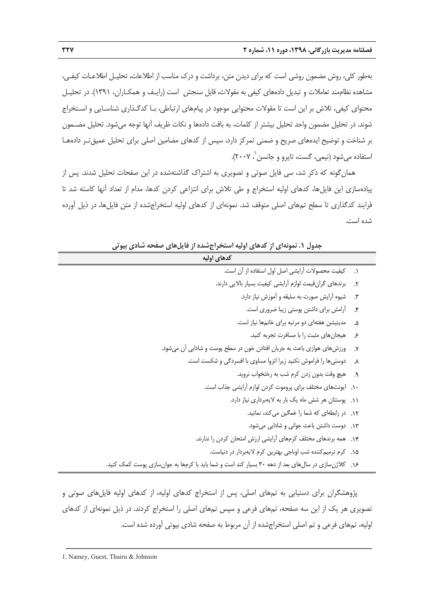بهطور كلي، روش مضمون روشي است كه براي ديدن متن، برداشت و درك مناسب از اطلاعات، تحليـل اطلاعـات كيفـي، مشاهده نظاممند تعاملات و تبديل دادههاي كيفي به مقولات، قابل سنجش است (رايـف و همكـاران، 1391). در تحليـل محتواي كيفي، تلاش بر اين است تا مقولات محتوايي موجود در پيامهاي ارتباطي، بـا كدگـذاري شناسـايي و اسـتخراج شوند. در تحليل مضمون واحد تحليل بيشتر از كلمات، به بافت دادهها و نكات ظريف آنها توجه ميشود. تحليل مضـمون بر شناخت و توضيح ايدههاي صريح و ضمني تمركز دارد، سپس از كدهاي مضامين اصلي براي تحليل عميقتـر دادههـا استفاده مي شود (نيمي، گست، تايرو و جانسن`، ۲۰۰۷).

همانگونه كه ذكر شد، سي فايل صوتي و تصويري به اشتراك گذاشتهشده در اين صفحات تحليل شدند. پس از پيادهسازي اين فايلها، كدهاي اوليه استخراج و طي تلاش براي انتزاعي كردن كدها، مدام از تعداد آنها كاسته شد تا فرايند كدگذاري تا سطح تمهاي اصلي متوقف شد. نمونهاي از كدهاي اوليه استخراجشده از متن فايلها، در ذيل آورده شده است.

**جدول .1 نمونهاي از كدهاي اوليه استخراجشده از فايلهاي صفحه شادي بيوتي كدهاي اوليه** .1 كيفيت محصولات آرايشي اصل اول استفاده از آن است. .2 برندهاي گرانقيمت لوازم آرايشي كيفيت بسيار بالايي دارند. .3 شيوه آرايش صورت به سليقه و آموزش نياز دارد. .4 آرامش براي داشتن پوستي زيبا ضروري است. .5 مديتيشن هفتهاي دو مرتبه براي خانمها نياز است. .6 هيجانهاي مثبت را با مسافرت تجربه كنيد. .7 ورزشهاي هوازي باعث به جريان افتادن خون در سطح پوست و شادابي آن ميشود. .8 دوستيها را فراموش نكنيد زيرا انزوا مساوي با افسردگي و شكست است. .9 هيچ وقت بدون زدن كرم شب به رختخواب نرويد. .10 ايونتهاي مختلف براي پروموت كردن لوازم آرايشي جذاب است. .11 پوستتان هر شش ماه يك بار به لايهبرداري نياز دارد. .12 در رابطهاي كه شما را غمگين ميكند، نمانيد. .13 دوست داشتن باعث جواني و شادابي ميشود. .14 همه برندهاي مختلف كرمهاي آرايشي ارزش امتحان كردن را ندارند. .15 كرم ترميمكننده شب اوباجي بهترين كرم لايهبردار در دنياست. .16 كلاژنسازي در سالهاي بعد از دهه 30 بسيار كند است و شما بايد با كرمها به جوانسازي پوست كمك كنيد.

پژوهشگران براي دستيابي به تمهاي اصلي، پس از استخراج كدهاي اوليه، از كدهاي اوليه فايلهاي صوتي و تصويري هر يك از اين سه صفحه، تمهاي فرعي و سپس تمهاي اصلي را استخراج كردند. در ذيل نمونهاي از كدهاي اوليه، تمهاي فرعي و تم اصلي استخراجشده از آن مربوط به صفحه شادي بيوتي آورده شده است.

ــــــــــــــــــــــــــــــــــــــــــــــــــــــــــــــــــــــــــــــــــــــــــــــــــــــــــــــــــــــــــــــــــــ 1. Namey, Guest, Thairu & Johnson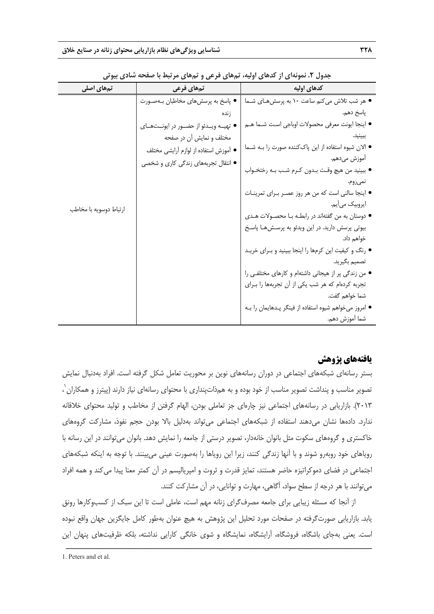| <b>س …ر ت</b>          | . <i>.</i>                                 |                                                        |
|------------------------|--------------------------------------------|--------------------------------------------------------|
| تمهای اصلی             | تمهای فرعی                                 | كدهاى اوليه                                            |
|                        | ● پاسخ به پرسشهای مخاطبان بـهصـورت         | ● هر شب تلاش میکنم ساعت ۱۰ به پرسشهـای شـما            |
|                        | ز نده                                      | پاسخ دهم.                                              |
|                        | ● تهيــه ويــدئو از حضــور در ايونــتھــاى | ● اينجا ايونت معرفي محصولات اوباجي است شـما هــم       |
|                        | مختلف و نمایش أن در صفحه                   | ببينيد.                                                |
|                        | ● أموزش استفاده از لوازم أرايشي مختلف      | ● الان شیوه استفاده از این پاککننده صورت را بـه شــما  |
|                        | ● انتقال تجربههای زندگی کاری و شخصی        | اموزش مىدهم.                                           |
|                        |                                            | • ببينيد من هيچ وقت بـدون كـرم شـب بـه رختخـواب        |
|                        |                                            | نميروم.                                                |
|                        |                                            | ● اینجا سالنی است که من هر روز عصـر بـرای تمرینـات     |
| ارتباط دوسويه با مخاطب |                                            | ايروبيک مي يم.                                         |
|                        |                                            | • دوستان به من گفتهاند در رابطـه بـا محصـولات هـدى     |
|                        |                                            | بیوتی پرسش دارید. در این ویدئو به پرسـش@ا پاسـخ        |
|                        |                                            | خواهم داد.                                             |
|                        |                                            | ● رنگ و کیفیت این کرمها را اینجا ببینید و بـرای خریـد  |
|                        |                                            | تصميم بگيريد.                                          |
|                        |                                            | • من زندگی پر از هیجانی داشتهام و کارهای مختلفی را     |
|                        |                                            | تجربه کردهام که هر شب یکی از آن تجربهها را بـرای       |
|                        |                                            | شما خواهم گفت.                                         |
|                        |                                            | ● امروز میخواهم شیوه استفاده از فینگر پـدهایمان را بـه |
|                        |                                            | شما أموزش دهم.                                         |

**جدول .2 نمونهاي از كدهاي اوليه، تمهاي فرعي و تمهاي مرتبط با صفحه شادي بيوتي** 

# **يافتههاي پژوهش**

بستر رسانهاي شبكههاي اجتماعي در دوران رسانههاي نوين بر محوريت تعامل شكل گرفته است. افراد بهدنبال نمايش 1 تصوير مناسب و پنداشت تصوير مناسب از خود بوده و به همذاتپنداري با محتواي رسانهاي نياز دارند (پيترز و همكاران ، 2013). بازاريابي در رسانههاي اجتماعي نيز چارهاي جز تعاملي بودن، الهام گرفتن از مخاطب و توليد محتواي خلاقانه ندارد. دادهها نشان ميدهند استفاده از شبكههاي اجتماعي ميتواند بهدليل بالا بودن حجم نفوذ، مشاركت گروههاي خاكستري و گروههاي سكوت مثل بانوان خانهدار، تصوير درستي از جامعه را نمايش دهد. بانوان ميتوانند در اين رسانه با روياهاي خود روبهرو شوند و با آنها زندگي كنند، زيرا اين روياها را بهصورت عيني ميبينند. با توجه به اينكه شبكههاي اجتماعي در فضاي دموكراتيزه حاضر هستند، تمايز قدرت و ثروت و امپرياليسم در آن كمتر معنا پيدا ميكند و همه افراد ميتوانند با هر درجه از سطح سواد، آگاهي، مهارت و توانايي، در آن مشاركت كنند.

از آنجا كه مسئله زيبايي براي جامعه مصرفگراي زنانه مهم است، عاملي است تا اين سبك از كسبوكارها رونق يابد. بازاريابي صورتگرفته در صفحات مورد تحليل اين پژوهش به هيچ عنوان بهطور كامل جايگزين جهان واقع نبوده است. يعني بهجاي باشگاه، فروشگاه، آرايشگاه، نمايشگاه و شوي خانگي كارايي نداشته، بلكه ظرفيتهاي پنهان اين

<sup>1.</sup> Peters and et al.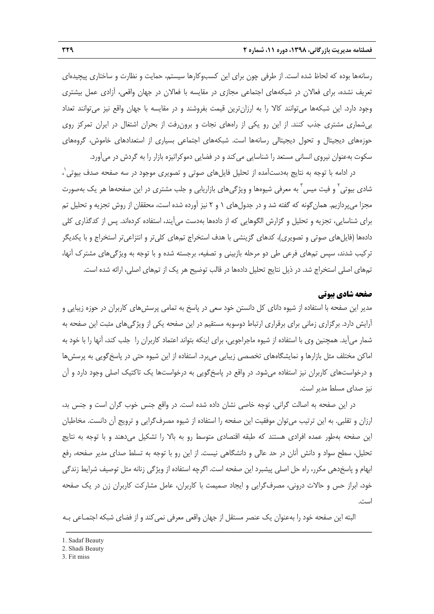رسانهها بوده كه لحاظ شده است. از طرفي چون براي اين كسبوكارها سيستم، حمايت و نظارت و ساختاري پيچيدهاي تعريف نشده، براي فعالان در شبكههاي اجتماعي مجازي در مقايسه با فعالان در جهان واقعي، آزادي عمل بيشتري وجود دارد. اين شبكهها ميتوانند كالا را به ارزانترين قيمت بفروشند و در مقايسه با جهان واقع نيز ميتوانند تعداد بيشماري مشتري جذب كنند. از اين رو يكي از راههاي نجات و برونرفت از بحران اشتغال در ايران تمركز روي حوزههاي ديجيتال و تحول ديجيتالي رسانهها است. شبكههاي اجتماعي بسياري از استعدادهاي خاموش، گروههاي سكوت بهعنوان نيروي انساني مستعد را شناسايي ميكند و در فضايي دموكراتيزه بازار را به گردش در ميآورد.

در ادامه با توجه به نتايج بهدستآمده از تحليل فايلهاى صوتى و تصويرى موجود در سه صفحه صدف بيوتى<sup>٬</sup> ، شادی بیوتی<sup>٬</sup> و فیت میس<sup>۳</sup> به معرفی شیوهها و ویژگیهای بازاریابی و جلب مشتری در این صفحهها هر یک بهصورت مجزا مي $\mu$ ردازيم. همان گونه كه گفته شد و در جدول $\mu$ هاي ٦ و ٢ نيز آورده شده است، محققان از روش تجزيه و تحليل تم براي شناسايي، تجزيه و تحليل و گزارش الگوهايي كه از دادهها بهدست ميآيند، استفاده كردهاند. پس از كدگذاري كلي دادهها (فايلهاي صوتي و تصويري)، كدهاي گزينشي با هدف استخراج تمهاي كليتر و انتزاعيتر استخراج و با يكديگر تركيب شدند، سپس تمهاي فرعي طي دو مرحله بازبيني و تصفيه، برجسته شده و با توجه به ويژگيهاي مشترك آنها، تمهاي اصلي استخراج شد. در ذيل نتايج تحليل دادهها در قالب توضيح هر يك از تمهاي اصلي، ارائه شده است.

### **صفحه شادي بيوتي**

مدير اين صفحه با استفاده از شيوه داناي كل دانستن خود سعي در پاسخ به تمامي پرسشهاي كاربران در حوزه زيبايي و آرايش دارد. برگزاري زماني براي برقراري ارتباط دوسويه مستقيم در اين صفحه يكي از ويژگيهاي مثبت اين صفحه به شمار ميآيد. همچنين وي با استفاده از شيوه ماجراجويي، براي اينكه بتواند اعتماد كاربران را جلب كند، آنها را با خود به اماكن مختلف مثل بازارها و نمايشگاههاي تخصصي زيبايي ميبرد. استفاده از اين شيوه حتي در پاسخگويي به پرسشها و درخواستهاي كاربران نيز استفاده ميشود. در واقع در پاسخگويي به درخواستها يك تاكتيك اصلي وجود دارد و آن نيز صداي مسلط مدير است.

در اين صفحه به اصالت گراني، توجه خاصي نشان داده شده است. در واقع جنس خوب گران است و جنس بد، ارزان و تقلبي. به اين ترتيب ميتوان موفقيت اين صفحه را استفاده از شيوه مصرفگرايي و ترويج آن دانست. مخاطبان اين صفحه بهطور عمده افرادي هستند كه طبقه اقتصادي متوسط رو به بالا را تشكيل ميدهند و با توجه به نتايج تحليل، سطح سواد و دانش آنان در حد عالي و دانشگاهي نيست. از اين رو با توجه به تسلط صداي مدير صفحه، رفع ابهام و پاسخدهي مكرر، راه حل اصلي پيشبرد اين صفحه است. اگرچه استفاده از ويژگي زنانه مثل توصيف شرايط زندگي خود، ابراز حس و حالات دروني، مصرفگرايي و ايجاد صميمت با كاربران، عامل مشاركت كاربران زن در يك صفحه است.

البته اين صفحه خود را بهعنوان يك عنصر مستقل از جهان واقعي معرفي نميكند و از فضاي شبكه اجتمـاعي بـه

<sup>1.</sup> Sadaf Beauty

<sup>2.</sup> Shadi Beauty

<sup>3.</sup> Fit miss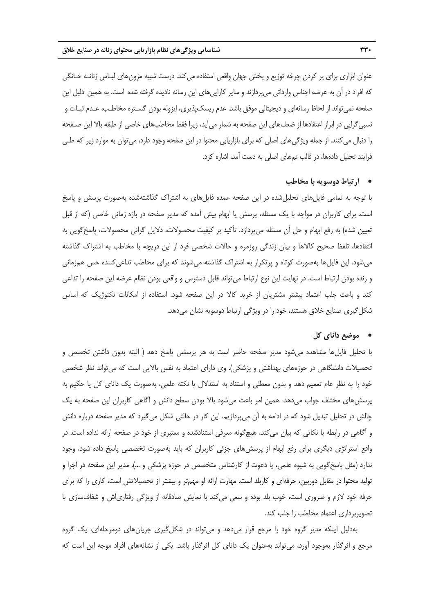عنوان ابزاري براي پر كردن چرخه توزيع و پخش جهان واقعي استفاده ميكند. درست شبيه مزونهاي لبـاس زنانـه خـانگي كه افراد در آن به عرضه اجناس وارداتي ميپردازند و ساير كاراييهاي اين رسانه ناديده گرفته شده است. به همين دليل اين صفحه نميتواند از لحاظ رسانهاي و ديجيتالي موفق باشد. عدم ريسكپذيري، ايزوله بودن گسـتره مخاطـب، عـدم ثبـات و نسبيگرايي در ابراز اعتقادها از ضعفهاي اين صفحه به شمار ميآيد، زيرا فقط مخاطبهاي خاصي از طبقه بالا اين صـفحه را دنبال ميكنند. از جمله ويژگيهاي اصلي كه براي بازاريابي محتوا در اين صفحه وجود دارد، ميتوان به موارد زير كه طـي فرايند تحليل دادهها، در قالب تمهاي اصلي به دست آمد، اشاره كرد.

### • **ارتباط دوسويه با مخاطب**

با توجه به تمامي فايلهاي تحليلشده در اين صفحه عمده فايلهاي به اشتراك گذاشتهشده بهصورت پرسش و پاسخ است. براي كاربران در مواجه با يك مسئله، پرسش يا ابهام پيش آمده كه مدير صفحه در بازه زماني خاصي (كه از قبل تعيين شده) به رفع ابهام و حل آن مسئله ميپردازد. تأكيد بر كيفيت محصولات، دلايل گراني محصولات، پاسخگويي به انتقادها، تلفظ صحيح كالاها و بيان زندگي روزمره و حالات شخصي فرد از اين دريچه با مخاطب به اشتراك گذاشته مي شود. اين فايل ها بهصورت كوتاه و پرتكرار به اشتراك گذاشته مي شوند كه براي مخاطب تداعي كننده حس همزماني و زنده بودن ارتباط است. در نهايت اين نوع ارتباط ميتواند قابل دسترس و واقعي بودن نظام عرضه اين صفحه را تداعي كند و باعث جلب اعتماد بيشتر مشتريان از خريد كالا در اين صفحه شود. استفاده از امكانات تكنوژيك كه اساس شكلگيري صنايع خلاق هستند، خود را در ويژگي ارتباط دوسويه نشان ميدهد.

### • **موضع داناي كل**

با تحليل فايلها مشاهده ميشود مدير صفحه حاضر است به هر پرسشي پاسخ دهد ( البته بدون داشتن تخصص و تحصيلات دانشگاهي در حوزههاي بهداشتي و پزشكي). وي داراي اعتماد به نفس بالايي است كه ميتواند نظر شخصي خود را به نظر عام تعميم دهد و بدون معطلي و استناد به استدلال يا نكته علمي، بهصورت يك داناي كل يا حكيم به پرسشهاي مختلف جواب ميدهد. همين امر باعث ميشود بالا بودن سطح دانش و آگاهي كاربران اين صفحه به يك چالش در تحليل تبديل شود كه در ادامه به آن ميپردازيم. اين كار در حالتي شكل ميگيرد كه مدير صفحه درباره دانش و آگاهي در رابطه با نكاتي كه بيان ميكند، هيچگونه معرفي استنادشده و معتبري از خود در صفحه ارائه نداده است. در واقع استراتژي ديگري براي رفع ابهام از پرسشهاي جزئي كاربران كه بايد بهصورت تخصصي پاسخ داده شود، وجود ندارد (مثل پاسخگويي به شيوه علمي، يا دعوت از كارشناس متخصص در حوزه پزشكي و ...). مدير اين صفحه در اجرا و توليد محتوا در مقابل دوربين، حرفهاي و كاربلد است. مهارت ارائه او مهمتر و بيشتر از تحصيلاتش است، كاري را كه براي حرفه خود لازم و ضروري است، خوب بلد بوده و سعي ميكند با نمايش صادقانه از ويژگي رفتارياش و شفافسازي با تصويربرداري اعتماد مخاطب را جلب كند.

بهدليل اينكه مدير گروه خود را مرجع قرار ميدهد و ميتواند در شكلگيري جريانهاي دومرحلهاي، يك گروه مرجع و اثرگذار بهوجود آورد، ميتواند بهعنوان يك داناي كل اثرگذار باشد. يكي از نشانههاي افراد موجه اين است كه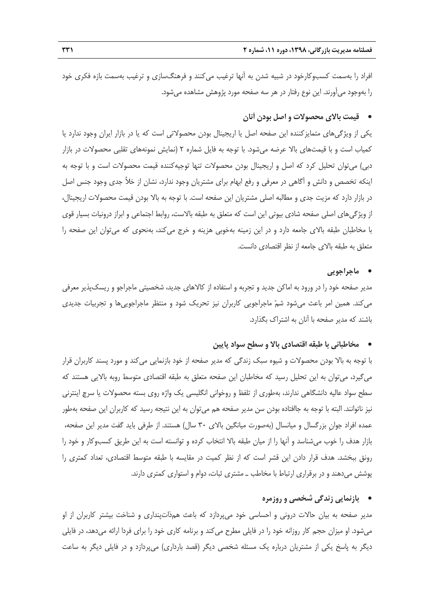افراد را بهسمت كسبوكارخود در شبيه شدن به آنها ترغيب ميكنند و فرهنگسازي و ترغيب بهسمت بازه فكري خود را بهوجود ميآورند. اين نوع رفتار در هر سه صفحه مورد پژوهش مشاهده ميشود.

# • **قيمت بالاي محصولات و اصل بودن آنان**

يكي از ويژگيهاي متمايزكننده اين صفحه اصل يا اريجينال بودن محصولاتي است كه يا در بازار ايران وجود ندارد يا كمياب است و با قيمتهاي بالا عرضه ميشود. با توجه به فايل شماره 2 (نمايش نمونههاي تقلبي محصولات در بازار دبي) ميتوان تحليل كرد كه اصل و اريجينال بودن محصولات تنها توجيهكننده قيمت محصولات است و با توجه به اينكه تخصص و دانش و آگاهي در معرفي و رفع ابهام براي مشتريان وجود ندارد، نشان از خلأ جدي وجود جنس اصل در بازار دارد كه مزيت جدي و مطالبه اصلي مشتريان اين صفحه است. با توجه به بالا بودن قيمت محصولات اريجينال، از ويژگيهاي اصلي صفحه شادي بيوتي اين است كه متعلق به طبقه بالاست، روابط اجتماعي و ابراز درونيات بسيار قوي با مخاطبان طبقه بالاي جامعه دارد و در اين زمينه بهخوبي هزينه و خرج ميكند، بهنحوي كه ميتوان اين صفحه را متعلق به طبقه بالاي جامعه از نظر اقتصادي دانست.

### • **ماجراجويي**

مدير صفحه خود را در ورود به اماكن جديد و تجربه و استفاده از كالاهاي جديد، شخصيتي ماجراجو و ريسكپذير معرفي ميكند. همين امر باعث ميشود شم ماجراجويي كاربران نيز تحريك شود و منتظر ماجراجوييها و تجربيات جديدي باشند كه مدير صفحه با آنان به اشتراك بگذارد.

### • **مخاطباني با طبقه اقتصادي بالا و سطح سواد پايين**

با توجه به بالا بودن محصولات و شيوه سبك زندگي كه مدير صفحه از خود بازنمايي ميكند و مورد پسند كاربران قرار ميگيرد، ميتوان به اين تحليل رسيد كه مخاطبان اين صفحه متعلق به طبقه اقتصادي متوسط روبه بالايي هستند كه سطح سواد عاليه دانشگاهي ندارند، بهطوري از تلفظ و روخواني انگليسي يك واژه روي بسته محصولات يا سرچ اينترني نيز ناتوانند. البته با توجه به جاافتاده بودن سن مدير صفحه هم ميتوان به اين نتيجه رسيد كه كاربران اين صفحه بهطور عمده افراد جوانِ بزرگسال و ميانسال (بهصورت ميانگين بالاي 30 سال) هستند. از طرفي بايد گفت مدير اين صفحه، بازار هدف را خوب ميشناسد و آنها را از ميان طبقه بالا انتخاب كرده و توانسته است به اين طريق كسبوكار و خود را رونق ببخشد. هدف قرار دادن اين قشر است كه از نظر كميت در مقايسه با طبقه متوسط اقتصادي، تعداد كمتري را پوشش ميدهند و در برقراري ارتباط با مخاطب ـ مشتري ثبات، دوام و استواري كمتري دارند.

### • **بازنمايي زندگي شخصي و روزمره**

مدير صفحه به بيان حالات دروني و احساسي خود ميپردازد كه باعث همذاتپنداري و شناخت بيشتر كاربران از او ميشود. او ميزان حجم كار روزانه خود را در فايلي مطرح ميكند و برنامه كاري خود را براي فردا ارائه ميدهد، در فايلي ديگر به پاسخ يكي از مشتريان درباره يك مسئله شخصي ديگر (قصد بارداري) ميپردازد و در فايلي ديگر به ساعت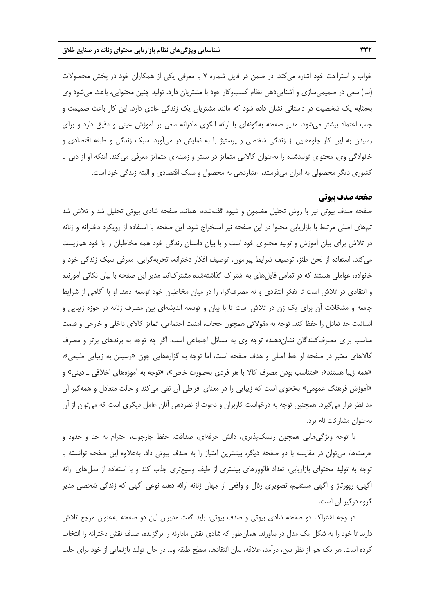خواب و استراحت خود اشاره ميكند. در ضمن در فايل شماره 7 با معرفي يكي از همكاران خود در پخش محصولات (ندا) سعي در صميميسازي و آشناييدهي نظام كسبوكار خود با مشتريان دارد. توليد چنين محتوايي، باعث ميشود وي بهمثابه يك شخصيت در داستاني نشان داده شود كه مانند مشتريان يك زندگي عادي دارد. اين كار باعث صميمت و جلب اعتماد بيشتر ميشود. مدير صفحه بهگونهاي با ارائه الگوي مادرانه سعي بر آموزش عيني و دقيق دارد و براي رسيدن به اين كار جلوههايي از زندگي شخصي و پرستيژ را به نمايش در ميآورد. سبك زندگي و طبقه اقتصادي و خانوادگي وي، محتواي توليدشده را بهعنوان كالايي متمايز در بستر و زمينهاي متمايز معرفي ميكند. اينكه او از دبي يا كشوري ديگر محصولي به ايران ميفرستد، اعتباردهي به محصول و سبك اقتصادي و البته زندگي خود است.

#### **صفحه صدف بيوتي**

صفحه صدف بيوتي نيز با روش تحليل مضمون و شيوه گفتهشده، همانند صفحه شادي بيوتي تحليل شد و تلاش شد تمهاي اصلي مرتبط با بازاريابي محتوا در اين صفحه نيز استخراج شود. اين صفحه با استفاده از رويكرد دخترانه و زنانه در تلاش براي بيان آموزش و توليد محتواي خود است و با بيان داستان زندگي خود همه مخاطبان را با خود همزيست ميكند. استفاده از لحن طنز، توصيف شرايط پيرامون، توصيف افكار دخترانه، تجربهگرايي، معرفي سبك زندگي خود و خانواده، عواملي هستند كه در تمامي فايلهاي به اشتراك گذاشتهشده مشتركاند. مدير اين صفحه با بيان نكاتي آموزنده و انتقادي در تلاش است تا تفكر انتقادي و نه مصرفگرا، را در ميان مخاطبان خود توسعه دهد. او با آگاهي از شرايط جامعه و مشكلات آن براي يك زن در تلاش است تا با بيان و توسعه انديشهاي بين مصرف زنانه در حوزه زيبايي و انسانيت حد تعادل را حفظ كند. توجه به مقولاتي همچون حجاب، امنيت اجتماعي، تمايز كالاي داخلي و خارجي و قيمت مناسب براي مصرفكنندگان نشاندهنده توجه وي به مسائل اجتماعي است. اگر چه توجه به برندهاي برتر و مصرف كالاهاي معتبر در صفحه او خط اصلي و هدف صفحه است، اما توجه به گزارههايي چون «رسيدن به زيبايي طبيعي»، «همه زيبا هستند»، «متناسب بودن مصرف كالا با هر فردي بهصورت خاص»، «توجه به آموزههاي اخلاقي ـ ديني» و «آموزش فرهنگ عمومي» بهنحوي است كه زيبايي را در معناي افراطي آن نفي ميكند و حالت متعادل و همهگير آن مد نظر قرار ميگيرد. همچنين توجه به درخواست كاربران و دعوت از نظردهي آنان عامل ديگري است كه ميتوان از آن بهعنوان مشاركت نام برد.

با توجه ويژگيهايي همچون ريسكپذيري، دانش حرفهاي، صداقت، حفظ چارچوب، احترام به حد و حدود و حرمتها، ميتوان در مقايسه با دو صفحه ديگر، بيشترين امتياز را به صدف بيوتي داد. بهعلاوه اين صفحه توانسته با توجه به توليد محتواي بازاريابي، تعداد فالوورهاي بيشتري از طيف وسيعتري جذب كند و با استفاده از مدلهاي ارائه آگهي، رپورتاژ و آگهي مستقيم، تصويري رئال و واقعي از جهان زنانه ارائه دهد، نوعي آگهي كه زندگي شخصي مدير گروه درگير آن است.

در وجه اشتراك دو صفحه شادي بيوتي و صدف بيوتي، بايد گفت مديران اين دو صفحه بهعنوان مرجع تلاش دارند تا خود را به شكل يك مدل در بياورند. همانطور كه شادي نقش مادارنه را برگزيده، صدف نقش دخترانه را انتخاب كرده است. هر يك هم از نظر سن، درآمد، علاقه، بيان انتقادها، سطح طبقه و... در حال توليد بازنمايي از خود براي جلب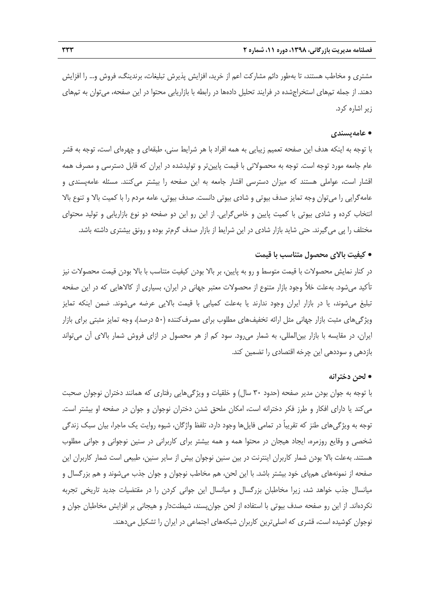مشتري و مخاطب هستند، تا بهطور دائم مشاركت اعم از خريد، افزايش پذيرش تبليغات، برندينگ، فروش و... را افزايش دهند. از جمله تمهاي استخراجشده در فرايند تحليل دادهها در رابطه با بازاريابي محتوا در اين صفحه، ميتوان به تمهاي زير اشاره كرد.

### • **عامهپسندي**

با توجه به اينكه هدف اين صفحه تعميم زيبايي به همه افراد با هر شرايط سني، طبقهاي و چهرهاي است، توجه به قشر عام جامعه مورد توجه است. توجه به محصولاتي با قيمت پايينتر و توليدشده در ايران كه قابل دسترسي و مصرف همه اقشار است، عواملي هستند كه ميزان دسترسي اقشار جامعه به اين صفحه را بيشتر ميكنند. مسئله عامهپسندي و عامهگرايي را ميتوان وجه تمايز صدف بيوتي و شادي بيوتي دانست. صدف بيوتي، عامه مردم را با كميت بالا و تنوع بالا انتخاب كرده و شادي بيوتي با كميت پايين و خاصگرايي. از اين رو اين دو صفحه دو نوع بازاريابي و توليد محتواي مختلف را پي ميگيرند. حتي شايد بازار شادي در اين شرايط از بازار صدف گرمتر بوده و رونق بيشتري داشته باشد.

### • **كيفيت بالاي محصول متناسب با قيمت**

در كنار نمايش محصولات با قيمت متوسط و رو به پايين، بر بالا بودن كيفيت متناسب با بالا بودن قيمت محصولات نيز تأكيد ميشود. بهعلت خلأ وجود بازار متنوع از محصولات معتبر جهاني در ايران، بسياري از كالاهايي كه در اين صفحه تبليغ ميشوند، يا در بازار ايران وجود ندارند يا بهعلت كميابي با قيمت بالايي عرضه ميشوند. ضمن اينكه تمايز ويژگيهاي مثبت بازار جهاني مثل ارائه تخفيفهاي مطلوب براي مصرفكننده (50 درصد)، وجه تمايز مثبتي براي بازار ايران، در مقايسه با بازار بينالمللي، به شمار ميرود. سود كم از هر محصول در ازاي فروش شمار بالاي آن ميتواند بازدهي و سوددهي اين چرخه اقتصادي را تضمين كند.

### • **لحن دخترانه**

با توجه به جوان بودن مدير صفحه (حدود 30 سال) و خلقيات و ويژگيهايي رفتاري كه همانند دختران نوجوان صحبت ميكند يا داراي افكار و طرز فكر دخترانه است، امكان ملحق شدن دختران نوجوان و جوان در صفحه او بيشتر است. توجه به ويژگيهاي طنز كه تقريباً در تمامي فايلها وجود دارد، تلفظ واژگان، شيوه روايت يك ماجرا، بيان سبك زندگي شخصي و وقايع روزمره، ايجاد هيجان در محتوا همه و همه بيشتر براي كاربراني در سنين نوجواني و جواني مطلوب هستند. بهعلت بالا بودن شمار كاربران اينترنت در بين سنين نوجوان بيش از ساير سنين، طبيعي است شمار كاربران اين صفحه از نمونههاي همپاي خود بيشتر باشد. با اين لحن، هم مخاطب نوجوان و جوان جذب ميشوند و هم بزرگسال و ميانسال جذب خواهد شد، زيرا مخاطبان بزرگسال و ميانسال اين جواني كردن را در مقتضيات جديد تاريخي تجربه نكردهاند. از اين رو صفحه صدف بيوتي با استفاده از لحن جوانپسند، شيطنتدار و هيجاني بر افزايش مخاطبان جوان و نوجوان كوشيده است، قشري كه اصليترين كاربران شبكههاي اجتماعي در ايران را تشكيل ميدهند.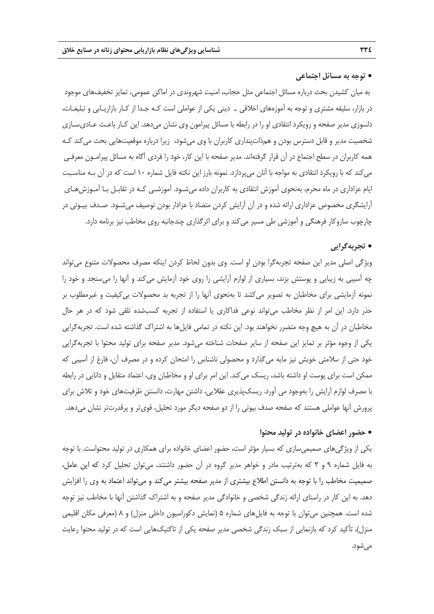### • **توجه به مسائل اجتماعي**

به ميان كشيدن بحث درباره مسائل اجتماعي مثل حجاب، امنيت شهروندي در اماكن عمومي، تمايز تخفيفهاي موجود در بازار، سليقه مشتري و توجه به آموزههاي اخلاقي ـ ديني يكي از عواملي است كـه جـدا از كـار بازاريـابي و تبليغـات، دلسوزي مدير صفحه و رويكرد انتقادي او را در رابطه با مسائل پيرامون وي نشان ميدهد. اين كـار باعـث عـاديسـازي شخصيت مدير و قابل دسترس بودن و همذاتپنداري كاربران با وي ميشود، زيرا درباره موقعيتهايي بحث ميكند كـه همه كاربران در سطح اجتماع در آن قرار گرفتهاند. مدير صفحه با اين كار، خود را فردي آگاه به مسائل پيرامـون معرفـي ميكند كه با رويكرد انتقادي به مواجه با آنان ميپردازد. نمونه بارز اين نكته فايل شماره 10 است كه در آن بـه مناسـبت ايام عزاداري در ماه محرم، بهنحوي آموزش انتقادي به كاربران داده ميشـود. آموزشـي كـه در تقابـل بـا آمـوزشهـاي آرايشگري مخصوص عزاداري ارائه شده و در آن آرايش كردن متضاد با عزادار بودن توصيف ميشـود. صـدف بيـوتي در چارچوب سازوكار فرهنگي و آموزشي طي مسير ميكند و براي اثرگذاري چندجانبه روي مخاطب نيز برنامه دارد.

# • **تجربهگرايي**

ويژگي اصلي مدير اين صفحه تجربهگرا بودن او است. وي بدون لحاظ كردن اينكه مصرف محصولات متنوع ميتواند چه آسيبي به زيبايي و پوستش بزند، بسياري از لوازم آرايشي را روي خود آزمايش ميكند و آنها را ميسنجد و خود را نمونه آزمايشي براي مخاطبان به تصوير ميكشد تا بهنحوي آنها را از تجربه بد محصولات بيكيفيت و غيرمطلوب بر حذر دارد. اين امر از نظر مخاطب ميتواند نوعي فداكاري يا استفاده از تجربه كسبشده تلقي شود كه در هر حال مخاطبان در آن به هيچ وجه متضرر نخواهند بود. اين نكته در تمامي فايلها به اشتراك گذاشته شده است. تجربهگرايي يكي از وجوه مؤثر بر تمايز اين صفحه از ساير صفحات شناخته ميشود. مدير صفحه براي توليد محتوا با تجربهگرايي خود حتي از سلامتي خويش نيز مايه ميگذارد و محصولي ناشناس را امتحان كرده و در مصرف آن، فارغ از آسيبي كه ممكن است براي پوست او داشته باشد، ريسك ميكند. اين امر براي او و مخاطبان وي، اعتماد متقابل و دانايي در رابطه با مصرف لوازم آرايش را بهوجود مي آورد. ريسكپذيري عقلايي، داشتن مهارت، دانستن ظرفيتهاي خود و تلاش براي پرورش آنها عواملي هستند كه صفحه صدف بيوتي را از دو صفحه ديگر مورد تحليل، قويتر و پرقدرتتر نشان ميدهد.

### • **حضور اعضاي خانواده در توليد محتوا**

يكي از ويژگيهاي صميميسازي كه بسيار مؤثر است، حضور اعضاي خانواده براي همكاري در توليد محتواست. با توجه به فايل شماره 9 و 3 كه بهترتيب مادر و خواهر مدير گروه در آن حضور داشتند، ميتوان تحليل كرد كه اين عامل، صميميت مخاطب را با توجه به دانستن اطلاع بيشتري از مدير صفحه بيشتر ميكند و ميتواند اعتماد به وي را افزايش دهد. به اين كار در راستاي ارائه زندگي شخصي و خانوادگي مدير صفحه و به اشتراك گذاشتن آنها با مخاطب نيز توجه شده است. همچنين ميتوان با توجه به فايلهاي شماره 5 (نمايش دكوراسيون داخلي منزل) و 8 (معرفي مكان اقليمي منزل)، تأكيد كرد كه بازنمايي از سبك زندگي شخصي مدير صفحه يكي از تاكتيكهايي است كه در توليد محتوا رعايت ميشود.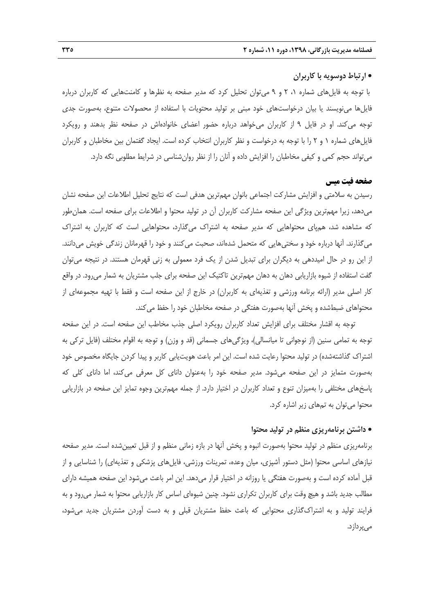### • **ارتباط دوسويه با كاربران**

با توجه به فايلهاي شماره ،1 2 و 9 ميتوان تحليل كرد كه مدير صفحه به نظرها و كامنتهايي كه كاربران درباره فايلها مينويسند يا بيان درخواستهاي خود مبني بر توليد محتويات با استفاده از محصولات متنوع، بهصورت جدي توجه ميكند. او در فايل 9 از كاربران ميخواهد درباره حضور اعضاي خانوادهاش در صفحه نظر بدهند و رويكرد فايلهاي شماره 1 و 2 را با توجه به درخواست و نظر كاربران انتخاب كرده است. ايجاد گفتمان بين مخاطبان و كاربران ميتواند حجم كمي و كيفي مخاطبان را افزايش داده و آنان را از نظر روانشناسي در شرايط مطلوبي نگه دارد.

### **صفحه فيت ميس**

رسيدن به سلامتي و افزايش مشاركت اجتماعي بانوان مهمترين هدفي است كه نتايج تحليل اطلاعات اين صفحه نشان ميدهد، زيرا مهمترين ويژگي اين صفحه مشاركت كاربران آن در توليد محتوا و اطلاعات براي صفحه است. همانطور كه مشاهده شد، همپاي محتواهايي كه مدير صفحه به اشتراك ميگذارد، محتواهايي است كه كاربران به اشتراك ميگذارند. آنها درباره خود و سختيهايي كه متحمل شدهاند، صحبت ميكنند و خود را قهرمانان زندگي خويش ميدانند. از اين رو در حال اميددهي به ديگران براي تبديل شدن از يك فرد معمولي به زني قهرمان هستند. در نتيجه ميتوان گفت استفاده از شيوه بازاريابي دهان به دهان مهمترين تاكتيك اين صفحه براي جلب مشتريان به شمار ميرود. در واقع كار اصلي مدير (ارائه برنامه ورزشي و تغذيهاي به كاربران) در خارج از اين صفحه است و فقط با تهيه مجموعهاي از محتواهاي ضبطشده و پخش آنها بهصورت هفتگي در صفحه مخاطبان خود را حفظ ميكند.

توجه به اقشار مختلف براي افزايش تعداد كاربران رويكرد اصلي جذب مخاطب اين صفحه است. در اين صفحه توجه به تمامي سنين (از نوجواني تا ميانسالي)، ويژگيهاي جسماني (قد و وزن) و توجه به اقوام مختلف (فايل تركي به اشتراك گذاشتهشده) در توليد محتوا رعايت شده است. اين امر باعث هويتيابي كاربر و پيدا كردن جايگاه مخصوص خود بهصورت متمايز در اين صفحه ميشود. مدير صفحه خود را بهعنوان داناي كل معرفي ميكند، اما داناي كلي كه پاسخهاي مختلفي را بهميزان تنوع و تعداد كاربران در اختيار دارد. از جمله مهمترين وجوه تمايز اين صفحه در بازاريابي محتوا ميتوان به تمهاي زير اشاره كرد.

#### • **داشتن برنامهريزي منظم در توليد محتوا**

برنامهريزي منظم در توليد محتوا بهصورت انبوه و پخش آنها در بازه زماني منظم و از قبل تعيينشده است. مدير صفحه نيازهاي اساسي محتوا (مثل دستور آشپزي، ميان وعده، تمرينات ورزشي، فايلهاي پزشكي و تغذيهاي) را شناسايي و از قبل آماده كرده است و بهصورت هفتگي يا روزانه در اختيار قرار ميدهد. اين امر باعث ميشود اين صفحه هميشه داراي مطالب جديد باشد و هيچ وقت براي كاربران تكراري نشود. چنين شيوهاي اساس كار بازاريابي محتوا به شمار ميرود و به فرايند توليد و به اشتراكگذاري محتوايي كه باعث حفظ مشتريان قبلي و به دست آوردن مشتريان جديد ميشود، ميپردازد.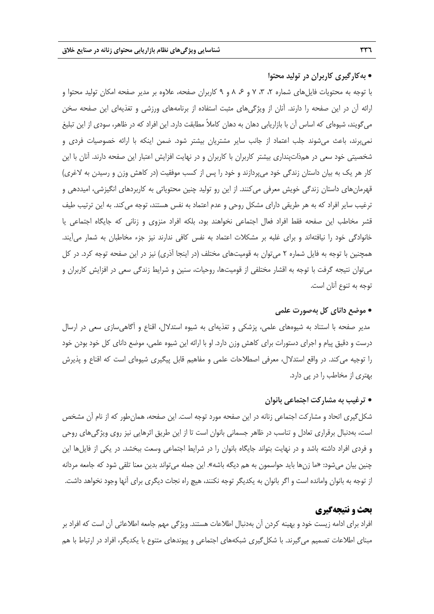### • **بهكارگيري كاربران در توليد محتوا**

با توجه به محتويات فايلهاي شماره ،2 ،3 7 و ،6 8 و 9 كاربران صفحه، علاوه بر مدير صفحه امكان توليد محتوا و ارائه آن در اين صفحه را دارند. آنان از ويژگيهاي مثبت استفاده از برنامههاي ورزشي و تغذيهاي اين صفحه سخن ميگويند، شيوهاي كه اساس آن با بازاريابي دهان به دهان كاملاً مطابقت دارد. اين افراد كه در ظاهر، سودي از اين تبليغ نميبرند، باعث ميشوند جلب اعتماد از جانب ساير مشتريان بيشتر شود. ضمن اينكه با ارائه خصوصيات فردي و شخصيتي خود سعي در همذاتپنداري بيشتر كاربران با كاربران و در نهايت افزايش اعتبار اين صفحه دارند. آنان با اين كار هر يك به بيان داستان زندگي خود ميپردازند و خود را پس از كسب موفقيت (در كاهش وزن و رسيدن به لاغري) قهرمانهاي داستان زندگي خويش معرفي ميكنند. از اين رو توليد چنين محتوياتي به كاربردهاي انگيزشي، اميددهي و ترغيب ساير افراد كه به هر طريقي داراي مشكل روحي و عدم اعتماد به نفس هستند، توجه ميكند. به اين ترتيب طيف قشر مخاطب اين صفحه فقط افراد فعال اجتماعي نخواهند بود، بلكه افراد منزوي و زناني كه جايگاه اجتماعي يا خانوادگي خود را نيافتهاند و براي غلبه بر مشكلات اعتماد به نفس كافي ندارند نيز جزء مخاطبان به شمار ميآيند. همچنين با توجه به فايل شماره 2 ميتوان به قوميتهاي مختلف (در اينجا آذري) نيز در اين صفحه توجه كرد. در كل ميتوان نتيجه گرفت با توجه به اقشار مختلفي از قوميتها، روحيات، سنين و شرايط زندگي سعي در افزايش كاربران و توجه به تنوع آنان است.

### • **موضع داناي كل بهصورت علمي**

مدير صفحه با استناد به شيوههاي علمي، پزشكي و تغذيهاي به شيوه استدلال، اقناع و آگاهيسازي سعي در ارسال درست و دقيق پيام و اجراي دستورات براي كاهش وزن دارد. او با ارائه اين شيوه علمي، موضع داناي كل خود بودن خود را توجيه ميكند. در واقع استدلال، معرفي اصطلاحات علمي و مفاهيم قابل پيگيري شيوهاي است كه اقناع و پذيرش بهتري از مخاطب را در پي دارد.

### • **ترغيب به مشاركت اجتماعي بانوان**

شكلگيري اتحاد و مشاركت اجتماعي زنانه در اين صفحه مورد توجه است. اين صفحه، همانطور كه از نام آن مشخص است، بهدنبال برقراري تعادل و تناسب در ظاهر جسماني بانوان است تا از اين طريق اثرهايي نيز روي ويژگيهاي روحي و فردي افراد داشته باشد و در نهايت بتواند جايگاه بانوان را در شرايط اجتماعي وسعت ببخشد. در يكي از فايلها اين چنين بيان ميشود: «ما زنها بايد حواسمون به هم ديگه باشه». اين جمله ميتواند بدين معنا تلقي شود كه جامعه مردانه از توجه به بانوان وامانده است و اگر بانوان به يكديگر توجه نكنند، هيچ راه نجات ديگري براي آنها وجود نخواهد داشت.

# **بحث و نتيجهگيري**

افراد براي ادامه زيست خود و بهينه كردن آن بهدنبال اطلاعات هستند. ويژگي مهم جامعه اطلاعاتي آن است كه افراد بر مبناي اطلاعات تصميم ميگيرند. با شكلگيري شبكههاي اجتماعي و پيوندهاي متنوع با يكديگر، افراد در ارتباط با هم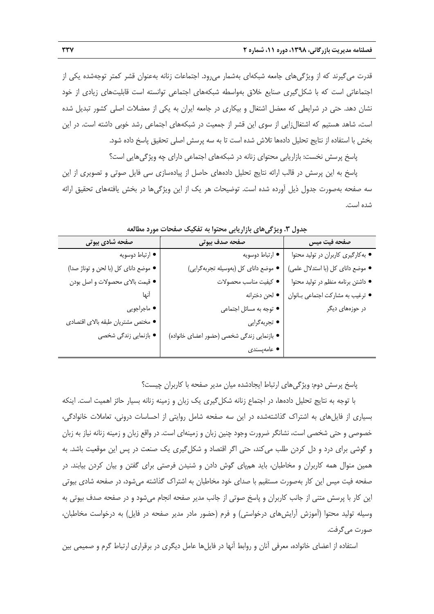قدرت ميگيرند كه از ويژگيهاي جامعه شبكهاي بهشمار ميرود. اجتماعات زنانه بهعنوان قشر كمتر توجهشده يكي از اجتماعاتي است كه با شكلگيري صنايع خلاق بهواسطه شبكههاي اجتماعي توانسته است قابليتهاي زيادي از خود نشان دهد. حتي در شرايطي كه معضل اشتغال و بيكاري در جامعه ايران به يكي از معضلات اصلي كشور تبديل شده است، شاهد هستيم كه اشتغالزايي از سوي اين قشر از جمعيت در شبكههاي اجتماعي رشد خوبي داشته است. در اين بخش با استفاده از نتايج تحليل دادهها تلاش شده است تا به سه پرسش اصلي تحقيق پاسخ داده شود.

پاسخ پرسش نخست: بازاريابي محتواي زنانه در شبكههاي اجتماعي داراي چه ويژگيهايي است؟

پاسخ به اين پرسش در قالب ارائه نتايج تحليل دادههاي حاصل از پيادهسازي سي فايل صوتي و تصويري از اين سه صفحه بهصورت جدول ذيل آورده شده است. توضيحات هر يك از اين ويژگيها در بخش يافتههاي تحقيق ارائه شده است.

| صفحه فيت ميس<br>• به کارگیری کاربران در تولید محتوا<br>• ارتباط دوسويه    |
|---------------------------------------------------------------------------|
|                                                                           |
|                                                                           |
| • موضع دانای کل (بهوسیله تجربهگرایی)<br>● موضع داناي كل (با استدلال علمي) |
| • داشتن برنامه منظم در تولید محتوا<br>● كيفيت مناسب محصولات               |
| ● لحن دخترانه<br>• ترغيب به مشاركت اجتماعي بانوان                         |
| در حوزههای دیگر<br>• توجه به مسائل اجتماعي                                |
| • تجربهگرایی                                                              |
| • بازنمایی زندگی شخصی (حضور اعضای خانواده)                                |
| ● عامەپسندى                                                               |
|                                                                           |

**جدول .3 ويژگيهاي بازاريابي محتوا به تفكيك صفحات مورد مطالعه** 

پاسخ پرسش دوم: ويژگيهاي ارتباط ايجادشده ميان مدير صفحه با كاربران چيست؟

با توجه به نتايج تحليل دادهها، در اجتماع زنانه شكلگيري يك زبان و زمينه زنانه بسيار حائز اهميت است. اينكه بسياري از فايلهاي به اشتراك گذاشتهشده در اين سه صفحه شامل روايتي از احساسات دروني، تعاملات خانوادگي، خصوصي و حتي شخصي است، نشانگر ضرورت وجود چنين زبان و زمينهاي است. در واقع زبان و زمينه زنانه نياز به زبان و گوشي براي درد و دل كردن طلب ميكند، حتي اگر اقتصاد و شكلگيري يك صنعت در پس اين موقعيت باشد. به همين منوال همه كاربران و مخاطبان، بايد همپاي گوش دادن و شنيدن فرصتي براي گفتن و بيان كردن بيابند. در صفحه فيت ميس اين كار بهصورت مستقيم با صداي خود مخاطبان به اشتراك گذاشته ميشود، در صفحه شادي بيوتي اين كار با پرسش متني از جانب كاربران و پاسخ صوتي از جانب مدير صفحه انجام ميشود و در صفحه صدف بيوتي به وسيله توليد محتوا (آموزش آرايشهاي درخواستي) و فرم (حضور مادر مدير صفحه در فايل) به درخواست مخاطبان، صورت ميگرفت.

استفاده از اعضاي خانواده، معرفي آنان و روابط آنها در فايلها عامل ديگري در برقراري ارتباط گرم و صميمي بين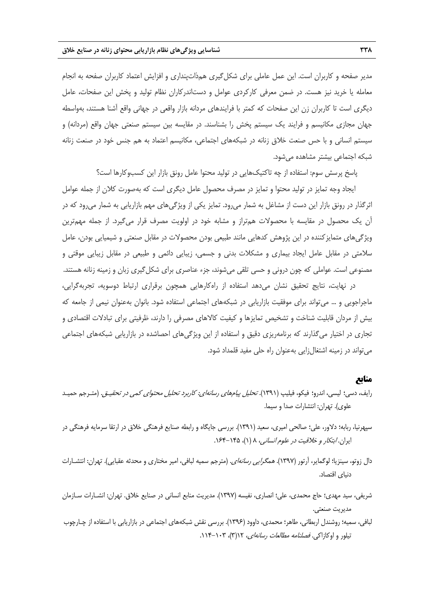مدير صفحه و كاربران است. اين عمل عاملي براي شكلگيري همذاتپنداري و افزايش اعتماد كاربران صفحه به انجام معامله يا خريد نيز هست. در ضمن معرفي كاركردي عوامل و دستاندركاران نظام توليد و پخش اين صفحات، عامل ديگري است تا كاربران زن اين صفحات كه كمتر با فرايندهاي مردانه بازار واقعي در جهاني واقع آشنا هستند، بهواسطه جهان مجازي مكانيسم و فرايند يك سيستم پخش را بشناسند. در مقايسه بين سيستم صنعتي جهان واقع (مردانه) و سيستم انساني و با حس صنعت خلاق زنانه در شبكههاي اجتماعي، مكانيسم اعتماد به هم جنس خود در صنعت زنانه شبكه اجتماعي بيشتر مشاهده ميشود.

پاسخ پرسش سوم: استفاده از چه تاكتيكهايي در توليد محتوا عامل رونق بازار اين كسبوكارها است؟

ايجاد وجه تمايز در توليد محتوا و تمايز در مصرف محصول عامل ديگري است كه بهصورت كلان از جمله عوامل اثرگذار در رونق بازار اين دست از مشاغل به شمار ميرود. تمايز يكي از ويژگيهاي مهم بازاريابي به شمار ميرود كه در آن يك محصول در مقايسه با محصولات همتراز و مشابه خود در اولويت مصرف قرار ميگيرد. از جمله مهمترين ويژگيهاي متمايزكننده در اين پژوهش كدهايي مانند طبيعي بودن محصولات در مقابل صنعتي و شيميايي بودن، عامل سلامتي در مقابل عامل ايجاد بيماري و مشكلات بدني و جسمي، زيبايي دائمي و طبيعي در مقابل زيبايي موقتي و مصنوعي است. عواملي كه چون دروني و حسي تلقي ميشوند، جزء عناصري براي شكلگيري زبان و زمينه زنانه هستند.

در نهايت، نتايج تحقيق نشان ميدهد استفاده از راهكارهايي همچون برقراري ارتباط دوسويه، تجربهگرايي، ماجراجويي و ... ميتواند براي موفقيت بازاريابي در شبكههاي اجتماعي استفاده شود. بانوان بهعنوان نيمي از جامعه كه بيش از مردان قابليت شناخت و تشخيص تمايزها و كيفيت كالاهاي مصرفي را دارند، ظرفيتي براي تبادلات اقتصادي و تجاري در اختيار ميگذارند كه برنامهريزي دقيق و استفاده از اين ويژگيهاي احصاشده در بازاريابي شبكههاي اجتماعي ميتواند در زمينه اشتغالزايي بهعنوان راه حلي مفيد قلمداد شود.

### **منابع**

- رايف، دسي؛ ليسي، اندرو؛ فيكو، فيليپ (1391). تحليل پيامهاي رسانهاي: كاربرد تحليل محتواي كمي در تحقيـق. (متـرجم حميـد علوي). تهران: انتشارات صدا و سيما.
- سپهرنيا، ربابه؛ دلاور، علي؛ صالحي اميري، سعيد (1391). بررسي جايگاه و رابطه صنايع فرهنگي خلاق در ارتقا سرمايه فرهنگي در ايران. *ابتكار و خلاقيت در علوم انساني*، ٨ (١)، ١٤٩٥-١۶۴.
- دال زوتو، سينزيا؛ لوگماير، آرتور (١٣٩٧). *همگرايي رسانهاي*. (مترجم سميه لبافي، امير مختاري و محدثه عقبايي). تهران: انتشـارات دنياي اقتصاد.
- شريفي، سيد مهدي؛ حاج محمدي، علي؛ انصاري، نفيسه (1397). مديريت منابع انساني در صنايع خلاق. تهران: انشـارات سـازمان مديريت صنعتي.
- لبافي، سميه؛ روشندل اربطاني، طاهر؛ محمدي، داوود (1396). بررسي نقش شبكههاي اجتماعي در بازاريابي با استفاده از چـارچوب تيلور و اوكازاكي. *فصلنامه مطالعات رسانهاي*، *١٦(*٣)، ٠١٣-١١٤.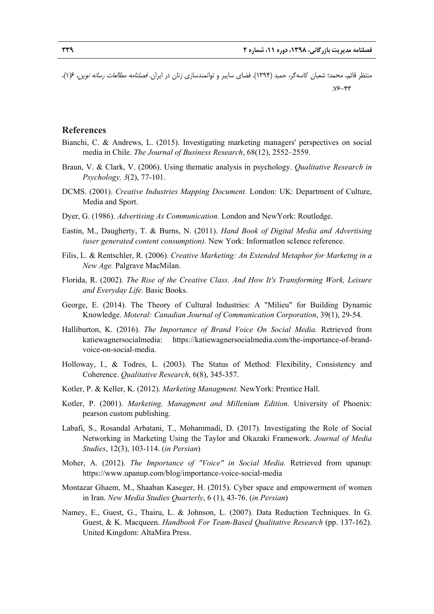منتظر قائم، محمد؛ شعبان كاسهگر، حميد (1394). فضاي سايبر و توانمندسازي زنان در ايران. فصلنامه مطالعات رسانه نوين، 6(1)،  $Y^{\epsilon}$ - $Y^{\epsilon}$ 

### **References**

- Bianchi, C. & Andrews, L. (2015). Investigating marketing managers' perspectives on social media in Chile. *The Journal of Business Research*, 68(12), 2552–2559.
- Braun, V. & Clark, V. (2006). Using thematic analysis in psychology. *Qualitative Research in Psychology, 3*(2), 77-101.
- DCMS. (2001). *Creative Industries Mapping Document.* London: UK: Department of Culture, Media and Sport.
- Dyer, G. (1986). *Advertising As Communication.* London and NewYork: Routledge.
- Eastin, M., Daugherty, T. & Burns, N. (2011). *Hand Book of Digital Media and Advertising (user generated content consumption).* New York: InformatIon scIence reference.
- Filis, L. & Rentschler, R. (2006). *Creative Marketing: An Extended Metaphor for Marketng in a New Age.* Palgrave MacMilan.
- Florida, R. (2002). *The Rise of the Creative Class. And How It's Transforming Work, Leisure and Everyday Life.* Basic Books.
- George, E. (2014). The Theory of Cultural Industries: A "Milieu" for Building Dynamic Knowledge. *Moteral: Canadian Journal of Communication Corporation*, 39(1), 29-54.
- Halliburton, K. (2016). *The Importance of Brand Voice On Social Media.* Retrieved from katiewagnersocialmedia: https://katiewagnersocialmedia.com/the-importance-of-brandvoice-on-social-media.
- Holloway, I., & Todres, L. (2003). The Status of Method: Flexibility, Consistency and Coherence. *Qualitative Research*, 6(8), 345-357.
- Kotler, P. & Keller, K. (2012). *Marketing Managment.* NewYork: Prentice Hall.
- Kotler, P. (2001). *Marketing, Managment and Millenium Edition.* University of Phoenix: pearson custom publishing.
- Labafi, S., Rosandal Arbatani, T., Mohammadi, D. (2017). Investigating the Role of Social Networking in Marketing Using the Taylor and Okazaki Framework. *Journal of Media Studies*, 12(3), 103-114. (*in Persian*)
- Moher, A. (2012). *The Importance of "Voice" in Social Media.* Retrieved from upanup: https://www.upanup.com/blog/importance-voice-social-media
- Montazar Ghaem, M., Shaaban Kaseger, H. (2015). Cyber space and empowerment of women in Iran. *New Media Studies Quarterly*, 6 (1), 43-76. (*in Persian*)
- Namey, E., Guest, G., Thairu, L. & Johnson, L. (2007). Data Reduction Techniques. In G. Guest, & K. Macqueen. *Handbook For Team-Based Qualitative Research* (pp. 137-162). United Kingdom: AltaMira Press.